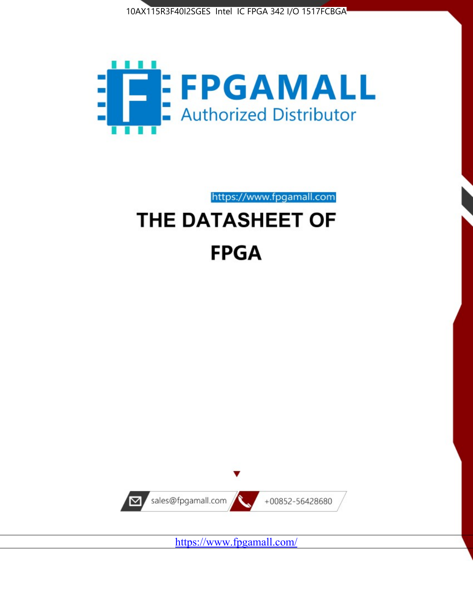



https://www.fpgamall.com

# THE DATASHEET OF **FPGA**



<https://www.fpgamall.com/>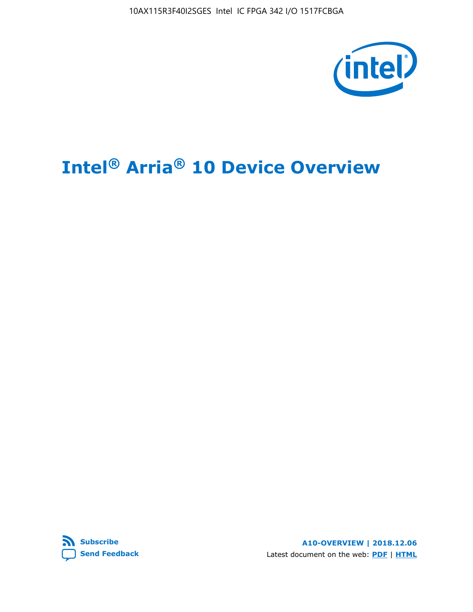10AX115R3F40I2SGES Intel IC FPGA 342 I/O 1517FCBGA



# **Intel® Arria® 10 Device Overview**



**A10-OVERVIEW | 2018.12.06** Latest document on the web: **[PDF](https://www.intel.com/content/dam/www/programmable/us/en/pdfs/literature/hb/arria-10/a10_overview.pdf)** | **[HTML](https://www.intel.com/content/www/us/en/programmable/documentation/sam1403480274650.html)**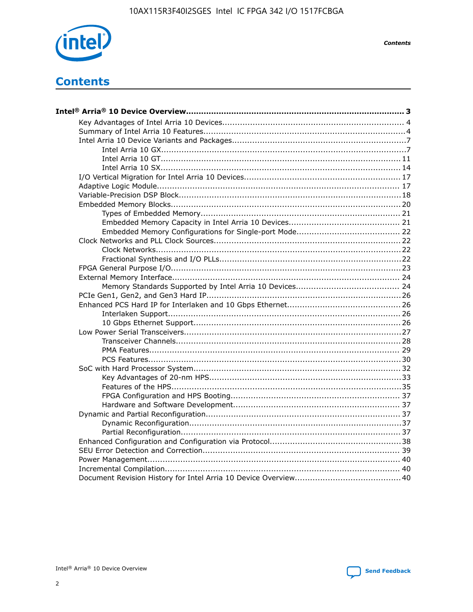

**Contents** 

# **Contents**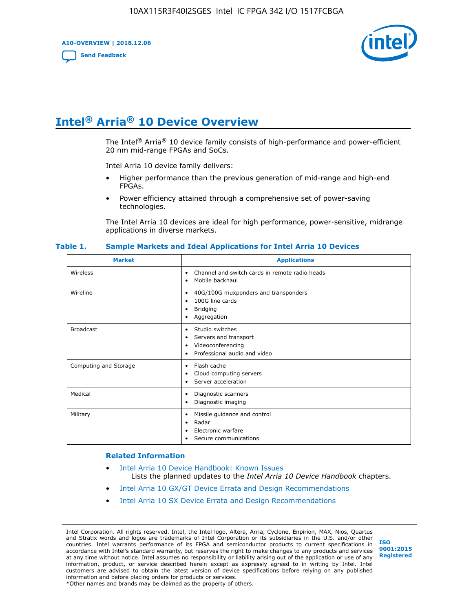**A10-OVERVIEW | 2018.12.06**

**[Send Feedback](mailto:FPGAtechdocfeedback@intel.com?subject=Feedback%20on%20Intel%20Arria%2010%20Device%20Overview%20(A10-OVERVIEW%202018.12.06)&body=We%20appreciate%20your%20feedback.%20In%20your%20comments,%20also%20specify%20the%20page%20number%20or%20paragraph.%20Thank%20you.)**



# **Intel® Arria® 10 Device Overview**

The Intel<sup>®</sup> Arria<sup>®</sup> 10 device family consists of high-performance and power-efficient 20 nm mid-range FPGAs and SoCs.

Intel Arria 10 device family delivers:

- Higher performance than the previous generation of mid-range and high-end FPGAs.
- Power efficiency attained through a comprehensive set of power-saving technologies.

The Intel Arria 10 devices are ideal for high performance, power-sensitive, midrange applications in diverse markets.

| <b>Market</b>         | <b>Applications</b>                                                                                               |
|-----------------------|-------------------------------------------------------------------------------------------------------------------|
| Wireless              | Channel and switch cards in remote radio heads<br>٠<br>Mobile backhaul<br>٠                                       |
| Wireline              | 40G/100G muxponders and transponders<br>٠<br>100G line cards<br>٠<br><b>Bridging</b><br>٠<br>Aggregation<br>٠     |
| <b>Broadcast</b>      | Studio switches<br>٠<br>Servers and transport<br>٠<br>Videoconferencing<br>٠<br>Professional audio and video<br>٠ |
| Computing and Storage | Flash cache<br>٠<br>Cloud computing servers<br>٠<br>Server acceleration<br>٠                                      |
| Medical               | Diagnostic scanners<br>٠<br>Diagnostic imaging<br>٠                                                               |
| Military              | Missile guidance and control<br>٠<br>Radar<br>٠<br>Electronic warfare<br>٠<br>Secure communications<br>٠          |

#### **Table 1. Sample Markets and Ideal Applications for Intel Arria 10 Devices**

#### **Related Information**

- [Intel Arria 10 Device Handbook: Known Issues](http://www.altera.com/support/kdb/solutions/rd07302013_646.html) Lists the planned updates to the *Intel Arria 10 Device Handbook* chapters.
- [Intel Arria 10 GX/GT Device Errata and Design Recommendations](https://www.intel.com/content/www/us/en/programmable/documentation/agz1493851706374.html#yqz1494433888646)
- [Intel Arria 10 SX Device Errata and Design Recommendations](https://www.intel.com/content/www/us/en/programmable/documentation/cru1462832385668.html#cru1462832558642)

Intel Corporation. All rights reserved. Intel, the Intel logo, Altera, Arria, Cyclone, Enpirion, MAX, Nios, Quartus and Stratix words and logos are trademarks of Intel Corporation or its subsidiaries in the U.S. and/or other countries. Intel warrants performance of its FPGA and semiconductor products to current specifications in accordance with Intel's standard warranty, but reserves the right to make changes to any products and services at any time without notice. Intel assumes no responsibility or liability arising out of the application or use of any information, product, or service described herein except as expressly agreed to in writing by Intel. Intel customers are advised to obtain the latest version of device specifications before relying on any published information and before placing orders for products or services. \*Other names and brands may be claimed as the property of others.

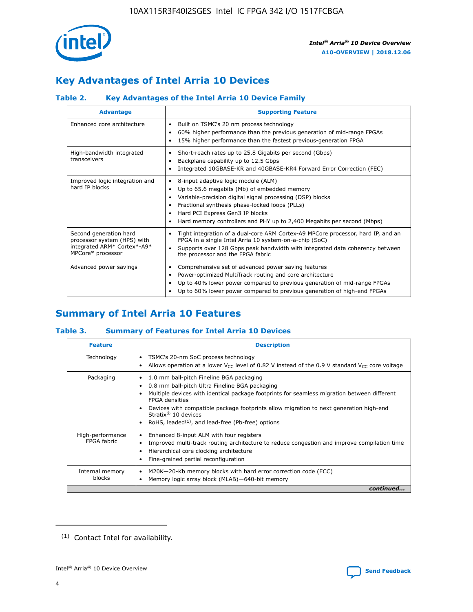

# **Key Advantages of Intel Arria 10 Devices**

## **Table 2. Key Advantages of the Intel Arria 10 Device Family**

| <b>Advantage</b>                                                                                          | <b>Supporting Feature</b>                                                                                                                                                                                                                                                                                                     |  |  |  |  |  |
|-----------------------------------------------------------------------------------------------------------|-------------------------------------------------------------------------------------------------------------------------------------------------------------------------------------------------------------------------------------------------------------------------------------------------------------------------------|--|--|--|--|--|
| Enhanced core architecture                                                                                | Built on TSMC's 20 nm process technology<br>٠<br>60% higher performance than the previous generation of mid-range FPGAs<br>٠<br>15% higher performance than the fastest previous-generation FPGA<br>٠                                                                                                                         |  |  |  |  |  |
| High-bandwidth integrated<br>transceivers                                                                 | Short-reach rates up to 25.8 Gigabits per second (Gbps)<br>٠<br>Backplane capability up to 12.5 Gbps<br>٠<br>Integrated 10GBASE-KR and 40GBASE-KR4 Forward Error Correction (FEC)<br>٠                                                                                                                                        |  |  |  |  |  |
| Improved logic integration and<br>hard IP blocks                                                          | 8-input adaptive logic module (ALM)<br>٠<br>Up to 65.6 megabits (Mb) of embedded memory<br>٠<br>Variable-precision digital signal processing (DSP) blocks<br>Fractional synthesis phase-locked loops (PLLs)<br>٠<br>Hard PCI Express Gen3 IP blocks<br>Hard memory controllers and PHY up to 2,400 Megabits per second (Mbps) |  |  |  |  |  |
| Second generation hard<br>processor system (HPS) with<br>integrated ARM* Cortex*-A9*<br>MPCore* processor | Tight integration of a dual-core ARM Cortex-A9 MPCore processor, hard IP, and an<br>٠<br>FPGA in a single Intel Arria 10 system-on-a-chip (SoC)<br>Supports over 128 Gbps peak bandwidth with integrated data coherency between<br>$\bullet$<br>the processor and the FPGA fabric                                             |  |  |  |  |  |
| Advanced power savings                                                                                    | Comprehensive set of advanced power saving features<br>٠<br>Power-optimized MultiTrack routing and core architecture<br>٠<br>Up to 40% lower power compared to previous generation of mid-range FPGAs<br>Up to 60% lower power compared to previous generation of high-end FPGAs<br>٠                                         |  |  |  |  |  |

# **Summary of Intel Arria 10 Features**

## **Table 3. Summary of Features for Intel Arria 10 Devices**

| <b>Feature</b>                  | <b>Description</b>                                                                                                                                                                                                                                                                                                                                                                                       |
|---------------------------------|----------------------------------------------------------------------------------------------------------------------------------------------------------------------------------------------------------------------------------------------------------------------------------------------------------------------------------------------------------------------------------------------------------|
| Technology                      | TSMC's 20-nm SoC process technology<br>٠<br>Allows operation at a lower $V_{\text{CC}}$ level of 0.82 V instead of the 0.9 V standard $V_{\text{CC}}$ core voltage                                                                                                                                                                                                                                       |
| Packaging                       | 1.0 mm ball-pitch Fineline BGA packaging<br>0.8 mm ball-pitch Ultra Fineline BGA packaging<br>Multiple devices with identical package footprints for seamless migration between different<br><b>FPGA</b> densities<br>Devices with compatible package footprints allow migration to next generation high-end<br>Stratix $\mathcal{R}$ 10 devices<br>RoHS, leaded $(1)$ , and lead-free (Pb-free) options |
| High-performance<br>FPGA fabric | Enhanced 8-input ALM with four registers<br>٠<br>Improved multi-track routing architecture to reduce congestion and improve compilation time<br>Hierarchical core clocking architecture<br>Fine-grained partial reconfiguration                                                                                                                                                                          |
| Internal memory<br>blocks       | M20K-20-Kb memory blocks with hard error correction code (ECC)<br>Memory logic array block (MLAB)-640-bit memory                                                                                                                                                                                                                                                                                         |
|                                 | continued                                                                                                                                                                                                                                                                                                                                                                                                |



<sup>(1)</sup> Contact Intel for availability.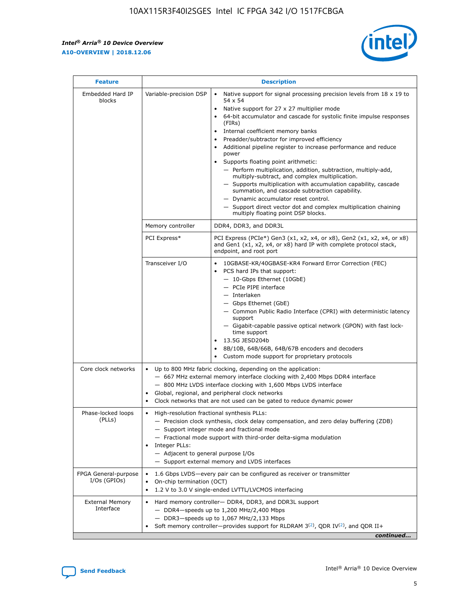$\mathsf{r}$ 



| <b>Feature</b>                         | <b>Description</b>                                                                                             |                                                                                                                                                                                                                                                                                                                                                                                                                                                                                                                                                                                                                                                                                                                                                                                                                                        |  |  |  |  |  |
|----------------------------------------|----------------------------------------------------------------------------------------------------------------|----------------------------------------------------------------------------------------------------------------------------------------------------------------------------------------------------------------------------------------------------------------------------------------------------------------------------------------------------------------------------------------------------------------------------------------------------------------------------------------------------------------------------------------------------------------------------------------------------------------------------------------------------------------------------------------------------------------------------------------------------------------------------------------------------------------------------------------|--|--|--|--|--|
| Embedded Hard IP<br>blocks             | Variable-precision DSP                                                                                         | Native support for signal processing precision levels from $18 \times 19$ to<br>54 x 54<br>Native support for 27 x 27 multiplier mode<br>64-bit accumulator and cascade for systolic finite impulse responses<br>(FIRs)<br>Internal coefficient memory banks<br>$\bullet$<br>Preadder/subtractor for improved efficiency<br>Additional pipeline register to increase performance and reduce<br>power<br>Supports floating point arithmetic:<br>- Perform multiplication, addition, subtraction, multiply-add,<br>multiply-subtract, and complex multiplication.<br>- Supports multiplication with accumulation capability, cascade<br>summation, and cascade subtraction capability.<br>- Dynamic accumulator reset control.<br>- Support direct vector dot and complex multiplication chaining<br>multiply floating point DSP blocks. |  |  |  |  |  |
|                                        | Memory controller                                                                                              | DDR4, DDR3, and DDR3L                                                                                                                                                                                                                                                                                                                                                                                                                                                                                                                                                                                                                                                                                                                                                                                                                  |  |  |  |  |  |
|                                        | PCI Express*                                                                                                   | PCI Express (PCIe*) Gen3 (x1, x2, x4, or x8), Gen2 (x1, x2, x4, or x8)<br>and Gen1 (x1, x2, x4, or x8) hard IP with complete protocol stack,<br>endpoint, and root port                                                                                                                                                                                                                                                                                                                                                                                                                                                                                                                                                                                                                                                                |  |  |  |  |  |
|                                        | Transceiver I/O                                                                                                | 10GBASE-KR/40GBASE-KR4 Forward Error Correction (FEC)<br>PCS hard IPs that support:<br>$\bullet$<br>- 10-Gbps Ethernet (10GbE)<br>- PCIe PIPE interface<br>$-$ Interlaken<br>- Gbps Ethernet (GbE)<br>- Common Public Radio Interface (CPRI) with deterministic latency<br>support<br>- Gigabit-capable passive optical network (GPON) with fast lock-<br>time support<br>13.5G JESD204b<br>$\bullet$<br>8B/10B, 64B/66B, 64B/67B encoders and decoders<br>Custom mode support for proprietary protocols                                                                                                                                                                                                                                                                                                                               |  |  |  |  |  |
| Core clock networks                    | $\bullet$<br>$\bullet$                                                                                         | Up to 800 MHz fabric clocking, depending on the application:<br>- 667 MHz external memory interface clocking with 2,400 Mbps DDR4 interface<br>- 800 MHz LVDS interface clocking with 1,600 Mbps LVDS interface<br>Global, regional, and peripheral clock networks<br>Clock networks that are not used can be gated to reduce dynamic power                                                                                                                                                                                                                                                                                                                                                                                                                                                                                            |  |  |  |  |  |
| Phase-locked loops<br>(PLLs)           | High-resolution fractional synthesis PLLs:<br>$\bullet$<br>Integer PLLs:<br>- Adjacent to general purpose I/Os | - Precision clock synthesis, clock delay compensation, and zero delay buffering (ZDB)<br>- Support integer mode and fractional mode<br>- Fractional mode support with third-order delta-sigma modulation<br>- Support external memory and LVDS interfaces                                                                                                                                                                                                                                                                                                                                                                                                                                                                                                                                                                              |  |  |  |  |  |
| FPGA General-purpose<br>$I/Os$ (GPIOs) | On-chip termination (OCT)                                                                                      | 1.6 Gbps LVDS-every pair can be configured as receiver or transmitter<br>1.2 V to 3.0 V single-ended LVTTL/LVCMOS interfacing                                                                                                                                                                                                                                                                                                                                                                                                                                                                                                                                                                                                                                                                                                          |  |  |  |  |  |
| <b>External Memory</b><br>Interface    |                                                                                                                | Hard memory controller- DDR4, DDR3, and DDR3L support<br>$-$ DDR4 $-$ speeds up to 1,200 MHz/2,400 Mbps<br>- DDR3-speeds up to 1,067 MHz/2,133 Mbps<br>Soft memory controller—provides support for RLDRAM $3^{(2)}$ , QDR IV $^{(2)}$ , and QDR II+<br>continued                                                                                                                                                                                                                                                                                                                                                                                                                                                                                                                                                                       |  |  |  |  |  |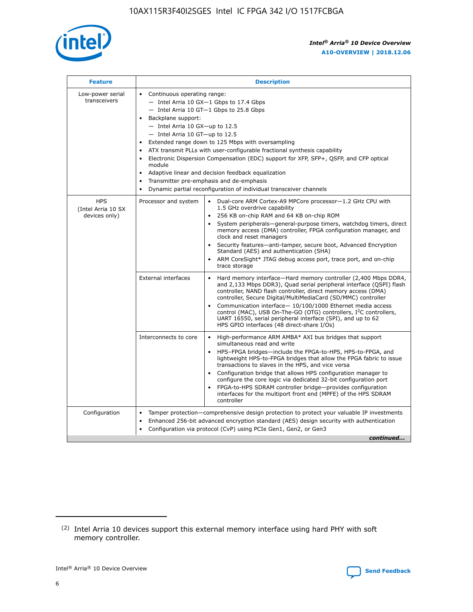

| <b>Feature</b>                                    | <b>Description</b>                                                                                                                                                                                                                                                                                                                                                                                                                                                                                                                                                                                                                         |
|---------------------------------------------------|--------------------------------------------------------------------------------------------------------------------------------------------------------------------------------------------------------------------------------------------------------------------------------------------------------------------------------------------------------------------------------------------------------------------------------------------------------------------------------------------------------------------------------------------------------------------------------------------------------------------------------------------|
| Low-power serial<br>transceivers                  | • Continuous operating range:<br>- Intel Arria 10 GX-1 Gbps to 17.4 Gbps<br>- Intel Arria 10 GT-1 Gbps to 25.8 Gbps<br>Backplane support:<br>$-$ Intel Arria 10 GX-up to 12.5<br>- Intel Arria 10 GT-up to 12.5<br>Extended range down to 125 Mbps with oversampling<br>ATX transmit PLLs with user-configurable fractional synthesis capability<br>Electronic Dispersion Compensation (EDC) support for XFP, SFP+, QSFP, and CFP optical<br>module<br>• Adaptive linear and decision feedback equalization<br>Transmitter pre-emphasis and de-emphasis<br>$\bullet$<br>Dynamic partial reconfiguration of individual transceiver channels |
| <b>HPS</b><br>(Intel Arria 10 SX<br>devices only) | Dual-core ARM Cortex-A9 MPCore processor-1.2 GHz CPU with<br>Processor and system<br>$\bullet$<br>1.5 GHz overdrive capability<br>256 KB on-chip RAM and 64 KB on-chip ROM<br>System peripherals-general-purpose timers, watchdog timers, direct<br>memory access (DMA) controller, FPGA configuration manager, and<br>clock and reset managers<br>Security features-anti-tamper, secure boot, Advanced Encryption<br>$\bullet$<br>Standard (AES) and authentication (SHA)<br>ARM CoreSight* JTAG debug access port, trace port, and on-chip<br>trace storage                                                                              |
|                                                   | <b>External interfaces</b><br>Hard memory interface-Hard memory controller (2,400 Mbps DDR4,<br>$\bullet$<br>and 2,133 Mbps DDR3), Quad serial peripheral interface (QSPI) flash<br>controller, NAND flash controller, direct memory access (DMA)<br>controller, Secure Digital/MultiMediaCard (SD/MMC) controller<br>Communication interface-10/100/1000 Ethernet media access<br>$\bullet$<br>control (MAC), USB On-The-GO (OTG) controllers, I <sup>2</sup> C controllers,<br>UART 16550, serial peripheral interface (SPI), and up to 62<br>HPS GPIO interfaces (48 direct-share I/Os)                                                 |
|                                                   | High-performance ARM AMBA* AXI bus bridges that support<br>Interconnects to core<br>$\bullet$<br>simultaneous read and write<br>HPS-FPGA bridges-include the FPGA-to-HPS, HPS-to-FPGA, and<br>$\bullet$<br>lightweight HPS-to-FPGA bridges that allow the FPGA fabric to issue<br>transactions to slaves in the HPS, and vice versa<br>Configuration bridge that allows HPS configuration manager to<br>configure the core logic via dedicated 32-bit configuration port<br>FPGA-to-HPS SDRAM controller bridge-provides configuration<br>interfaces for the multiport front end (MPFE) of the HPS SDRAM<br>controller                     |
| Configuration                                     | Tamper protection—comprehensive design protection to protect your valuable IP investments<br>Enhanced 256-bit advanced encryption standard (AES) design security with authentication<br>٠<br>Configuration via protocol (CvP) using PCIe Gen1, Gen2, or Gen3<br>continued                                                                                                                                                                                                                                                                                                                                                                  |

<sup>(2)</sup> Intel Arria 10 devices support this external memory interface using hard PHY with soft memory controller.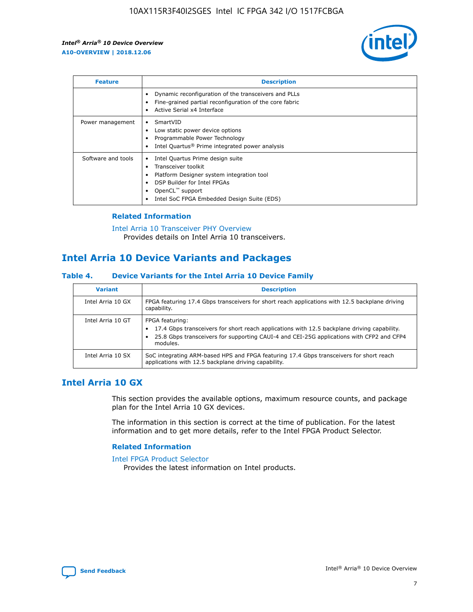

| <b>Feature</b>     | <b>Description</b>                                                                                                                                                                                               |
|--------------------|------------------------------------------------------------------------------------------------------------------------------------------------------------------------------------------------------------------|
|                    | Dynamic reconfiguration of the transceivers and PLLs<br>Fine-grained partial reconfiguration of the core fabric<br>Active Serial x4 Interface<br>$\bullet$                                                       |
| Power management   | SmartVID<br>Low static power device options<br>Programmable Power Technology<br>Intel Quartus <sup>®</sup> Prime integrated power analysis                                                                       |
| Software and tools | Intel Quartus Prime design suite<br>Transceiver toolkit<br>Platform Designer system integration tool<br>DSP Builder for Intel FPGAs<br>OpenCL <sup>™</sup> support<br>Intel SoC FPGA Embedded Design Suite (EDS) |

## **Related Information**

[Intel Arria 10 Transceiver PHY Overview](https://www.intel.com/content/www/us/en/programmable/documentation/nik1398707230472.html#nik1398706768037) Provides details on Intel Arria 10 transceivers.

# **Intel Arria 10 Device Variants and Packages**

#### **Table 4. Device Variants for the Intel Arria 10 Device Family**

| <b>Variant</b>    | <b>Description</b>                                                                                                                                                                                                     |
|-------------------|------------------------------------------------------------------------------------------------------------------------------------------------------------------------------------------------------------------------|
| Intel Arria 10 GX | FPGA featuring 17.4 Gbps transceivers for short reach applications with 12.5 backplane driving<br>capability.                                                                                                          |
| Intel Arria 10 GT | FPGA featuring:<br>17.4 Gbps transceivers for short reach applications with 12.5 backplane driving capability.<br>25.8 Gbps transceivers for supporting CAUI-4 and CEI-25G applications with CFP2 and CFP4<br>modules. |
| Intel Arria 10 SX | SoC integrating ARM-based HPS and FPGA featuring 17.4 Gbps transceivers for short reach<br>applications with 12.5 backplane driving capability.                                                                        |

## **Intel Arria 10 GX**

This section provides the available options, maximum resource counts, and package plan for the Intel Arria 10 GX devices.

The information in this section is correct at the time of publication. For the latest information and to get more details, refer to the Intel FPGA Product Selector.

#### **Related Information**

#### [Intel FPGA Product Selector](http://www.altera.com/products/selector/psg-selector.html) Provides the latest information on Intel products.

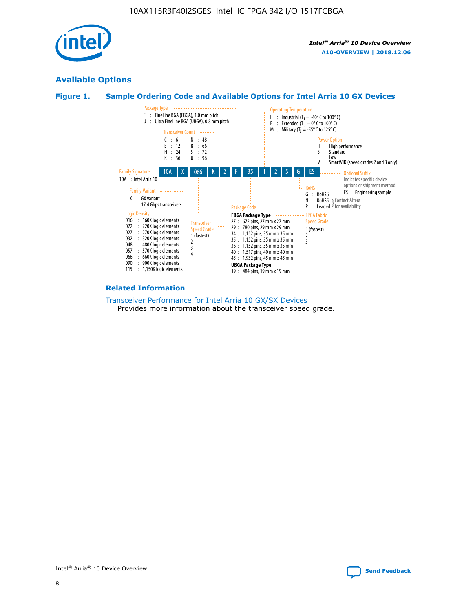

## **Available Options**





#### **Related Information**

[Transceiver Performance for Intel Arria 10 GX/SX Devices](https://www.intel.com/content/www/us/en/programmable/documentation/mcn1413182292568.html#mcn1413213965502) Provides more information about the transceiver speed grade.

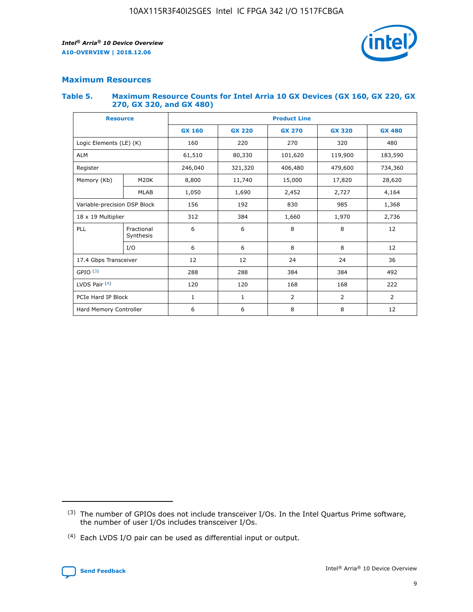

## **Maximum Resources**

#### **Table 5. Maximum Resource Counts for Intel Arria 10 GX Devices (GX 160, GX 220, GX 270, GX 320, and GX 480)**

| <b>Resource</b>              |                         | <b>Product Line</b> |                                |                |                |                |  |  |  |
|------------------------------|-------------------------|---------------------|--------------------------------|----------------|----------------|----------------|--|--|--|
|                              |                         | <b>GX 160</b>       | <b>GX 220</b><br><b>GX 270</b> |                | <b>GX 320</b>  | <b>GX 480</b>  |  |  |  |
| Logic Elements (LE) (K)      |                         | 160                 | 320<br>220<br>270              |                |                | 480            |  |  |  |
| <b>ALM</b>                   |                         | 61,510              | 80,330                         | 101,620        | 119,900        | 183,590        |  |  |  |
| Register                     |                         | 246,040             | 321,320<br>406,480             |                | 479,600        | 734,360        |  |  |  |
| Memory (Kb)                  | M <sub>20</sub> K       | 8,800               | 11,740                         | 15,000         | 17,820         | 28,620         |  |  |  |
|                              | <b>MLAB</b>             | 1,050               | 1,690                          | 2,452          | 2,727          | 4,164          |  |  |  |
| Variable-precision DSP Block |                         | 156                 | 192                            | 830<br>985     |                | 1,368          |  |  |  |
| 18 x 19 Multiplier           |                         | 312                 | 384                            | 1,970<br>1,660 |                | 2,736          |  |  |  |
| PLL                          | Fractional<br>Synthesis | 6                   | 6                              | 8              | 8              | 12             |  |  |  |
|                              | I/O                     | 6                   | 6                              | 8              | 8              | 12             |  |  |  |
| 17.4 Gbps Transceiver        |                         | 12                  | 12                             | 24             | 24             | 36             |  |  |  |
| GPIO <sup>(3)</sup>          |                         | 288                 | 288                            | 384            | 384            | 492            |  |  |  |
| LVDS Pair $(4)$              |                         | 120                 | 120                            | 168            | 168            | 222            |  |  |  |
| PCIe Hard IP Block           |                         | $\mathbf{1}$        | 1                              | $\overline{2}$ | $\overline{2}$ | $\overline{2}$ |  |  |  |
| Hard Memory Controller       |                         | 6                   | 6                              | 8              | 8              | 12             |  |  |  |

<sup>(4)</sup> Each LVDS I/O pair can be used as differential input or output.



<sup>(3)</sup> The number of GPIOs does not include transceiver I/Os. In the Intel Quartus Prime software, the number of user I/Os includes transceiver I/Os.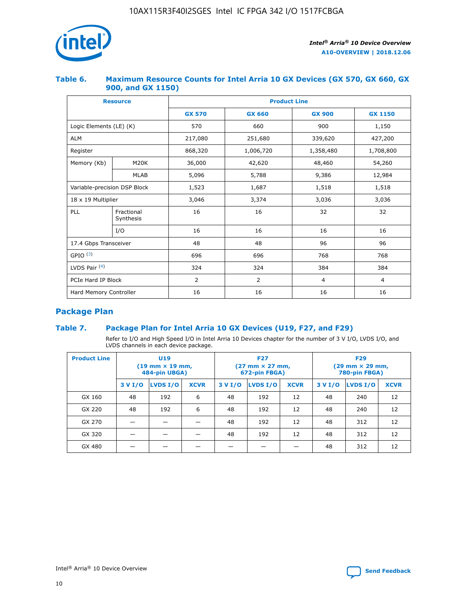

## **Table 6. Maximum Resource Counts for Intel Arria 10 GX Devices (GX 570, GX 660, GX 900, and GX 1150)**

|                              | <b>Resource</b>         | <b>Product Line</b> |                |                |                |  |  |  |
|------------------------------|-------------------------|---------------------|----------------|----------------|----------------|--|--|--|
|                              |                         | <b>GX 570</b>       | <b>GX 660</b>  | <b>GX 900</b>  | <b>GX 1150</b> |  |  |  |
| Logic Elements (LE) (K)      |                         | 570                 | 660            | 900            | 1,150          |  |  |  |
| <b>ALM</b>                   |                         | 217,080             | 251,680        | 339,620        | 427,200        |  |  |  |
| Register                     |                         | 868,320             | 1,006,720      |                | 1,708,800      |  |  |  |
| Memory (Kb)                  | <b>M20K</b>             | 36,000              | 42,620         | 48,460         | 54,260         |  |  |  |
|                              | <b>MLAB</b>             | 5,096               | 5,788          | 9,386          | 12,984         |  |  |  |
| Variable-precision DSP Block |                         | 1,523               | 1,687          | 1,518          | 1,518          |  |  |  |
| $18 \times 19$ Multiplier    |                         | 3,046               | 3,374          | 3,036          | 3,036          |  |  |  |
| PLL                          | Fractional<br>Synthesis | 16                  | 16             | 32             | 32             |  |  |  |
|                              | I/O                     | 16                  | 16             | 16             | 16             |  |  |  |
| 17.4 Gbps Transceiver        |                         | 48                  | 48             | 96             | 96             |  |  |  |
| GPIO <sup>(3)</sup>          |                         | 696                 | 696            | 768            | 768            |  |  |  |
| LVDS Pair $(4)$              |                         | 324                 | 324            | 384            | 384            |  |  |  |
| PCIe Hard IP Block           |                         | 2                   | $\overline{2}$ | $\overline{4}$ | 4              |  |  |  |
| Hard Memory Controller       |                         | 16                  | 16             | 16             | 16             |  |  |  |

## **Package Plan**

## **Table 7. Package Plan for Intel Arria 10 GX Devices (U19, F27, and F29)**

Refer to I/O and High Speed I/O in Intel Arria 10 Devices chapter for the number of 3 V I/O, LVDS I/O, and LVDS channels in each device package.

| <b>Product Line</b> | U <sub>19</sub><br>$(19 \text{ mm} \times 19 \text{ mm})$<br>484-pin UBGA) |          |             |         | <b>F27</b><br>(27 mm × 27 mm,<br>672-pin FBGA) |             | <b>F29</b><br>(29 mm × 29 mm,<br>780-pin FBGA) |          |             |  |
|---------------------|----------------------------------------------------------------------------|----------|-------------|---------|------------------------------------------------|-------------|------------------------------------------------|----------|-------------|--|
|                     | 3 V I/O                                                                    | LVDS I/O | <b>XCVR</b> | 3 V I/O | LVDS I/O                                       | <b>XCVR</b> | 3 V I/O                                        | LVDS I/O | <b>XCVR</b> |  |
| GX 160              | 48                                                                         | 192      | 6           | 48      | 192                                            | 12          | 48                                             | 240      | 12          |  |
| GX 220              | 48                                                                         | 192      | 6           | 48      | 192                                            | 12          | 48                                             | 240      | 12          |  |
| GX 270              |                                                                            |          |             | 48      | 192                                            | 12          | 48                                             | 312      | 12          |  |
| GX 320              |                                                                            |          |             | 48      | 192                                            | 12          | 48                                             | 312      | 12          |  |
| GX 480              |                                                                            |          |             |         |                                                |             | 48                                             | 312      | 12          |  |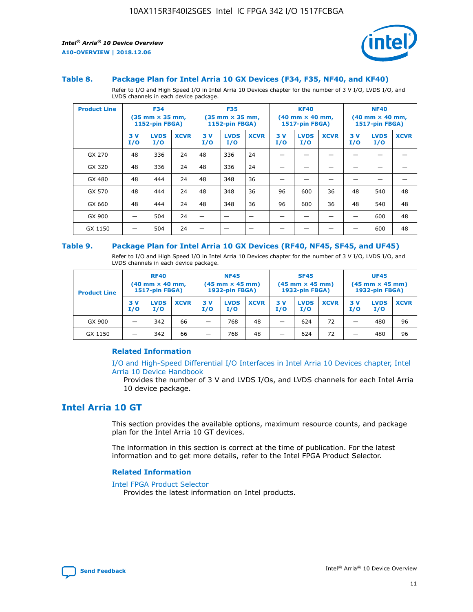

#### **Table 8. Package Plan for Intel Arria 10 GX Devices (F34, F35, NF40, and KF40)**

Refer to I/O and High Speed I/O in Intel Arria 10 Devices chapter for the number of 3 V I/O, LVDS I/O, and LVDS channels in each device package.

| <b>Product Line</b> | <b>F34</b><br>$(35 \text{ mm} \times 35 \text{ mm})$<br>1152-pin FBGA) |                    | <b>F35</b><br>$(35 \text{ mm} \times 35 \text{ mm})$<br><b>1152-pin FBGA)</b> |           | <b>KF40</b><br>$(40$ mm $\times$ 40 mm,<br>1517-pin FBGA) |             |           | <b>NF40</b><br>$(40$ mm $\times$ 40 mm,<br><b>1517-pin FBGA)</b> |             |            |                    |             |
|---------------------|------------------------------------------------------------------------|--------------------|-------------------------------------------------------------------------------|-----------|-----------------------------------------------------------|-------------|-----------|------------------------------------------------------------------|-------------|------------|--------------------|-------------|
|                     | 3V<br>I/O                                                              | <b>LVDS</b><br>I/O | <b>XCVR</b>                                                                   | 3V<br>I/O | <b>LVDS</b><br>I/O                                        | <b>XCVR</b> | 3V<br>I/O | <b>LVDS</b><br>I/O                                               | <b>XCVR</b> | 3 V<br>I/O | <b>LVDS</b><br>I/O | <b>XCVR</b> |
| GX 270              | 48                                                                     | 336                | 24                                                                            | 48        | 336                                                       | 24          |           |                                                                  |             |            |                    |             |
| GX 320              | 48                                                                     | 336                | 24                                                                            | 48        | 336                                                       | 24          |           |                                                                  |             |            |                    |             |
| GX 480              | 48                                                                     | 444                | 24                                                                            | 48        | 348                                                       | 36          |           |                                                                  |             |            |                    |             |
| GX 570              | 48                                                                     | 444                | 24                                                                            | 48        | 348                                                       | 36          | 96        | 600                                                              | 36          | 48         | 540                | 48          |
| GX 660              | 48                                                                     | 444                | 24                                                                            | 48        | 348                                                       | 36          | 96        | 600                                                              | 36          | 48         | 540                | 48          |
| GX 900              |                                                                        | 504                | 24                                                                            | -         |                                                           |             |           |                                                                  |             |            | 600                | 48          |
| GX 1150             |                                                                        | 504                | 24                                                                            |           |                                                           |             |           |                                                                  |             |            | 600                | 48          |

#### **Table 9. Package Plan for Intel Arria 10 GX Devices (RF40, NF45, SF45, and UF45)**

Refer to I/O and High Speed I/O in Intel Arria 10 Devices chapter for the number of 3 V I/O, LVDS I/O, and LVDS channels in each device package.

| <b>Product Line</b> | <b>RF40</b><br>$(40$ mm $\times$ 40 mm,<br>1517-pin FBGA) |                    |             | <b>NF45</b><br>$(45 \text{ mm} \times 45 \text{ mm})$<br><b>1932-pin FBGA)</b> |                    |             | <b>SF45</b><br>$(45 \text{ mm} \times 45 \text{ mm})$<br><b>1932-pin FBGA)</b> |                    |             | <b>UF45</b><br>$(45 \text{ mm} \times 45 \text{ mm})$<br><b>1932-pin FBGA)</b> |                    |             |
|---------------------|-----------------------------------------------------------|--------------------|-------------|--------------------------------------------------------------------------------|--------------------|-------------|--------------------------------------------------------------------------------|--------------------|-------------|--------------------------------------------------------------------------------|--------------------|-------------|
|                     | 3V<br>I/O                                                 | <b>LVDS</b><br>I/O | <b>XCVR</b> | 3 V<br>I/O                                                                     | <b>LVDS</b><br>I/O | <b>XCVR</b> | 3 V<br>I/O                                                                     | <b>LVDS</b><br>I/O | <b>XCVR</b> | 3V<br>I/O                                                                      | <b>LVDS</b><br>I/O | <b>XCVR</b> |
| GX 900              |                                                           | 342                | 66          | _                                                                              | 768                | 48          |                                                                                | 624                | 72          |                                                                                | 480                | 96          |
| GX 1150             |                                                           | 342                | 66          | _                                                                              | 768                | 48          |                                                                                | 624                | 72          |                                                                                | 480                | 96          |

### **Related Information**

[I/O and High-Speed Differential I/O Interfaces in Intel Arria 10 Devices chapter, Intel](https://www.intel.com/content/www/us/en/programmable/documentation/sam1403482614086.html#sam1403482030321) [Arria 10 Device Handbook](https://www.intel.com/content/www/us/en/programmable/documentation/sam1403482614086.html#sam1403482030321)

Provides the number of 3 V and LVDS I/Os, and LVDS channels for each Intel Arria 10 device package.

## **Intel Arria 10 GT**

This section provides the available options, maximum resource counts, and package plan for the Intel Arria 10 GT devices.

The information in this section is correct at the time of publication. For the latest information and to get more details, refer to the Intel FPGA Product Selector.

#### **Related Information**

#### [Intel FPGA Product Selector](http://www.altera.com/products/selector/psg-selector.html)

Provides the latest information on Intel products.

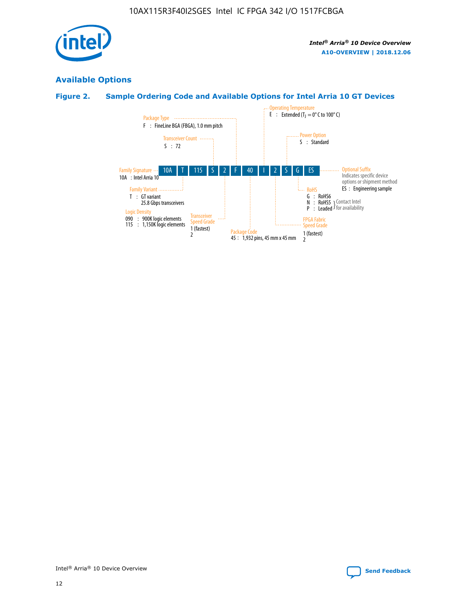

## **Available Options**

## **Figure 2. Sample Ordering Code and Available Options for Intel Arria 10 GT Devices**

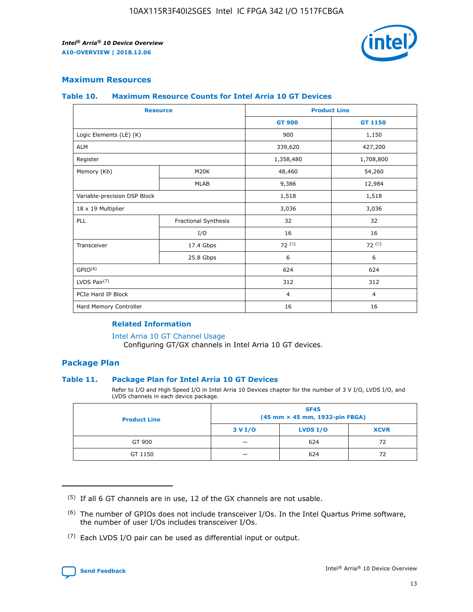

## **Maximum Resources**

#### **Table 10. Maximum Resource Counts for Intel Arria 10 GT Devices**

| <b>Resource</b>              |                      | <b>Product Line</b> |                |  |
|------------------------------|----------------------|---------------------|----------------|--|
|                              |                      | <b>GT 900</b>       | <b>GT 1150</b> |  |
| Logic Elements (LE) (K)      |                      | 900                 | 1,150          |  |
| <b>ALM</b>                   |                      | 339,620             | 427,200        |  |
| Register                     |                      | 1,358,480           | 1,708,800      |  |
| Memory (Kb)                  | M20K                 | 48,460              | 54,260         |  |
|                              | <b>MLAB</b>          | 9,386               | 12,984         |  |
| Variable-precision DSP Block |                      | 1,518               | 1,518          |  |
| 18 x 19 Multiplier           |                      | 3,036               | 3,036          |  |
| PLL                          | Fractional Synthesis | 32                  | 32             |  |
|                              | I/O                  | 16                  | 16             |  |
| Transceiver                  | 17.4 Gbps            | 72(5)               | 72(5)          |  |
|                              | 25.8 Gbps            | 6                   | 6              |  |
| GPIO <sup>(6)</sup>          |                      | 624                 | 624            |  |
| LVDS Pair $(7)$              |                      | 312                 | 312            |  |
| PCIe Hard IP Block           |                      | $\overline{4}$      | $\overline{4}$ |  |
| Hard Memory Controller       |                      | 16                  | 16             |  |

### **Related Information**

#### [Intel Arria 10 GT Channel Usage](https://www.intel.com/content/www/us/en/programmable/documentation/nik1398707230472.html#nik1398707008178)

Configuring GT/GX channels in Intel Arria 10 GT devices.

## **Package Plan**

### **Table 11. Package Plan for Intel Arria 10 GT Devices**

Refer to I/O and High Speed I/O in Intel Arria 10 Devices chapter for the number of 3 V I/O, LVDS I/O, and LVDS channels in each device package.

| <b>Product Line</b> | <b>SF45</b><br>(45 mm × 45 mm, 1932-pin FBGA) |                 |             |  |  |  |  |
|---------------------|-----------------------------------------------|-----------------|-------------|--|--|--|--|
|                     | 3 V I/O                                       | <b>LVDS I/O</b> | <b>XCVR</b> |  |  |  |  |
| GT 900              |                                               | 624             | 72          |  |  |  |  |
| GT 1150             |                                               | 624             | 72          |  |  |  |  |

<sup>(7)</sup> Each LVDS I/O pair can be used as differential input or output.



 $(5)$  If all 6 GT channels are in use, 12 of the GX channels are not usable.

<sup>(6)</sup> The number of GPIOs does not include transceiver I/Os. In the Intel Quartus Prime software, the number of user I/Os includes transceiver I/Os.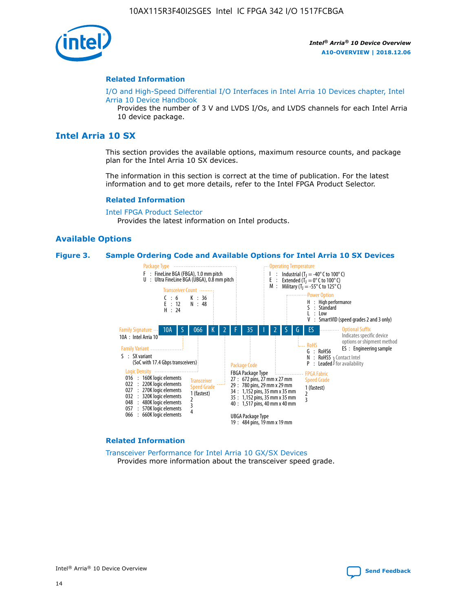

#### **Related Information**

[I/O and High-Speed Differential I/O Interfaces in Intel Arria 10 Devices chapter, Intel](https://www.intel.com/content/www/us/en/programmable/documentation/sam1403482614086.html#sam1403482030321) [Arria 10 Device Handbook](https://www.intel.com/content/www/us/en/programmable/documentation/sam1403482614086.html#sam1403482030321)

Provides the number of 3 V and LVDS I/Os, and LVDS channels for each Intel Arria 10 device package.

## **Intel Arria 10 SX**

This section provides the available options, maximum resource counts, and package plan for the Intel Arria 10 SX devices.

The information in this section is correct at the time of publication. For the latest information and to get more details, refer to the Intel FPGA Product Selector.

#### **Related Information**

[Intel FPGA Product Selector](http://www.altera.com/products/selector/psg-selector.html) Provides the latest information on Intel products.

#### **Available Options**

#### **Figure 3. Sample Ordering Code and Available Options for Intel Arria 10 SX Devices**



#### **Related Information**

[Transceiver Performance for Intel Arria 10 GX/SX Devices](https://www.intel.com/content/www/us/en/programmable/documentation/mcn1413182292568.html#mcn1413213965502) Provides more information about the transceiver speed grade.

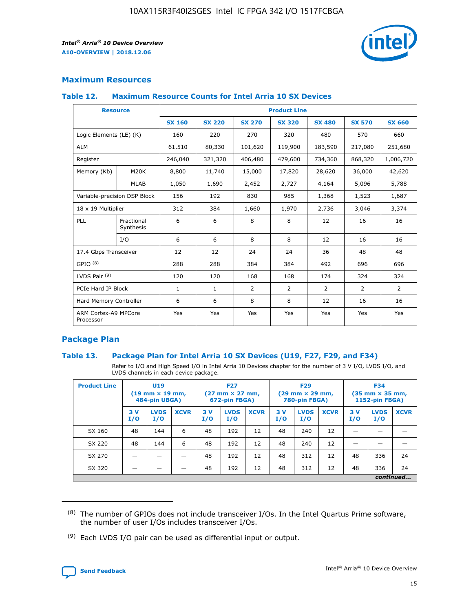

## **Maximum Resources**

### **Table 12. Maximum Resource Counts for Intel Arria 10 SX Devices**

| <b>Resource</b>                   |                         | <b>Product Line</b> |               |                |                |                |                |                |  |  |  |
|-----------------------------------|-------------------------|---------------------|---------------|----------------|----------------|----------------|----------------|----------------|--|--|--|
|                                   |                         | <b>SX 160</b>       | <b>SX 220</b> | <b>SX 270</b>  | <b>SX 320</b>  | <b>SX 480</b>  | <b>SX 570</b>  | <b>SX 660</b>  |  |  |  |
| Logic Elements (LE) (K)           |                         | 160                 | 220           | 270            | 320            | 480            | 570            | 660            |  |  |  |
| <b>ALM</b>                        |                         | 61,510              | 80,330        | 101,620        | 119,900        | 183,590        | 217,080        | 251,680        |  |  |  |
| Register                          |                         | 246,040             | 321,320       | 406,480        | 479,600        | 734,360        | 868,320        | 1,006,720      |  |  |  |
| Memory (Kb)                       | <b>M20K</b>             | 8,800               | 11,740        | 15,000         | 17,820         | 28,620         | 36,000         | 42,620         |  |  |  |
|                                   | <b>MLAB</b>             | 1,050               | 1,690         | 2,452          | 2,727          | 4,164          | 5,096          | 5,788          |  |  |  |
| Variable-precision DSP Block      |                         | 156                 | 192           | 830            | 985            | 1,368          | 1,523          | 1,687          |  |  |  |
| 18 x 19 Multiplier                |                         | 312                 | 384           | 1,660          | 1,970          | 2,736          | 3,046          | 3,374          |  |  |  |
| PLL                               | Fractional<br>Synthesis | 6                   | 6             | 8              | 8              | 12             | 16             | 16             |  |  |  |
|                                   | I/O                     | 6                   | 6             | 8              | 8              | 12             | 16             | 16             |  |  |  |
| 17.4 Gbps Transceiver             |                         | 12                  | 12            | 24             | 24             | 36             | 48             | 48             |  |  |  |
| GPIO <sup>(8)</sup>               |                         | 288                 | 288           | 384            | 384            | 492            | 696            | 696            |  |  |  |
| LVDS Pair $(9)$                   |                         | 120                 | 120           | 168            | 168            | 174            | 324            | 324            |  |  |  |
| PCIe Hard IP Block                |                         | $\mathbf{1}$        | $\mathbf{1}$  | $\overline{2}$ | $\overline{2}$ | $\overline{2}$ | $\overline{2}$ | $\overline{2}$ |  |  |  |
| Hard Memory Controller            |                         | 6                   | 6             | 8              | 8              | 12             | 16             | 16             |  |  |  |
| ARM Cortex-A9 MPCore<br>Processor |                         | Yes                 | Yes           | Yes            | Yes            | Yes            | Yes            | <b>Yes</b>     |  |  |  |

## **Package Plan**

### **Table 13. Package Plan for Intel Arria 10 SX Devices (U19, F27, F29, and F34)**

Refer to I/O and High Speed I/O in Intel Arria 10 Devices chapter for the number of 3 V I/O, LVDS I/O, and LVDS channels in each device package.

| <b>Product Line</b> | <b>U19</b><br>$(19 \text{ mm} \times 19 \text{ mm})$<br>484-pin UBGA) |                    |             | <b>F27</b><br>$(27 \text{ mm} \times 27 \text{ mm})$<br>672-pin FBGA) |                    | <b>F29</b><br>$(29$ mm $\times$ 29 mm,<br>780-pin FBGA) |            |                    | <b>F34</b><br>$(35 \text{ mm} \times 35 \text{ mm})$<br>1152-pin FBGA) |           |                    |             |
|---------------------|-----------------------------------------------------------------------|--------------------|-------------|-----------------------------------------------------------------------|--------------------|---------------------------------------------------------|------------|--------------------|------------------------------------------------------------------------|-----------|--------------------|-------------|
|                     | 3V<br>I/O                                                             | <b>LVDS</b><br>I/O | <b>XCVR</b> | 3V<br>I/O                                                             | <b>LVDS</b><br>I/O | <b>XCVR</b>                                             | 3 V<br>I/O | <b>LVDS</b><br>I/O | <b>XCVR</b>                                                            | 3V<br>I/O | <b>LVDS</b><br>I/O | <b>XCVR</b> |
| SX 160              | 48                                                                    | 144                | 6           | 48                                                                    | 192                | 12                                                      | 48         | 240                | 12                                                                     | –         |                    |             |
| SX 220              | 48                                                                    | 144                | 6           | 48                                                                    | 192                | 12                                                      | 48         | 240                | 12                                                                     |           |                    |             |
| SX 270              |                                                                       |                    |             | 48                                                                    | 192                | 12                                                      | 48         | 312                | 12                                                                     | 48        | 336                | 24          |
| SX 320              |                                                                       |                    |             | 48                                                                    | 192                | 12                                                      | 48         | 312                | 12                                                                     | 48        | 336                | 24          |
|                     | continued                                                             |                    |             |                                                                       |                    |                                                         |            |                    |                                                                        |           |                    |             |

 $(8)$  The number of GPIOs does not include transceiver I/Os. In the Intel Quartus Prime software, the number of user I/Os includes transceiver I/Os.

 $(9)$  Each LVDS I/O pair can be used as differential input or output.

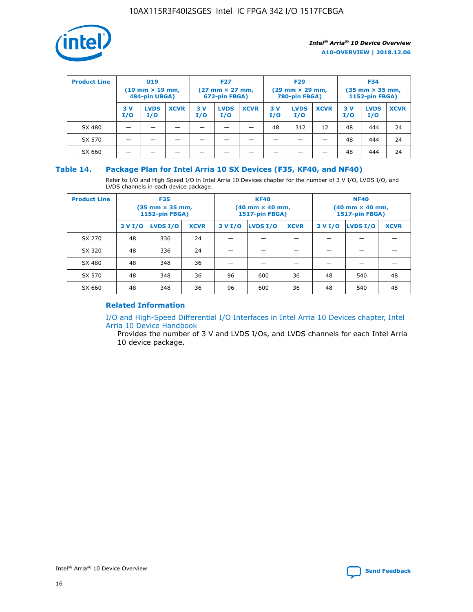

| <b>Product Line</b> | U <sub>19</sub><br>$(19 \text{ mm} \times 19 \text{ mm})$<br>484-pin UBGA) |                    | <b>F27</b><br>$(27 \text{ mm} \times 27 \text{ mm})$<br>672-pin FBGA) |           | <b>F29</b><br>$(29 \text{ mm} \times 29 \text{ mm})$<br>780-pin FBGA) |             |           | <b>F34</b><br>$(35 \text{ mm} \times 35 \text{ mm})$<br><b>1152-pin FBGA)</b> |             |           |                    |             |
|---------------------|----------------------------------------------------------------------------|--------------------|-----------------------------------------------------------------------|-----------|-----------------------------------------------------------------------|-------------|-----------|-------------------------------------------------------------------------------|-------------|-----------|--------------------|-------------|
|                     | 3 V<br>I/O                                                                 | <b>LVDS</b><br>I/O | <b>XCVR</b>                                                           | 3V<br>I/O | <b>LVDS</b><br>I/O                                                    | <b>XCVR</b> | 3V<br>I/O | <b>LVDS</b><br>I/O                                                            | <b>XCVR</b> | 3V<br>I/O | <b>LVDS</b><br>I/O | <b>XCVR</b> |
| SX 480              |                                                                            |                    |                                                                       |           |                                                                       |             | 48        | 312                                                                           | 12          | 48        | 444                | 24          |
| SX 570              |                                                                            |                    |                                                                       |           |                                                                       |             |           |                                                                               |             | 48        | 444                | 24          |
| SX 660              |                                                                            |                    |                                                                       |           |                                                                       |             |           |                                                                               |             | 48        | 444                | 24          |

## **Table 14. Package Plan for Intel Arria 10 SX Devices (F35, KF40, and NF40)**

Refer to I/O and High Speed I/O in Intel Arria 10 Devices chapter for the number of 3 V I/O, LVDS I/O, and LVDS channels in each device package.

| <b>Product Line</b> | <b>F35</b><br>$(35 \text{ mm} \times 35 \text{ mm})$<br><b>1152-pin FBGA)</b> |          |             |                                           | <b>KF40</b><br>(40 mm × 40 mm,<br>1517-pin FBGA) |    | <b>NF40</b><br>$(40 \text{ mm} \times 40 \text{ mm})$<br>1517-pin FBGA) |          |             |  |
|---------------------|-------------------------------------------------------------------------------|----------|-------------|-------------------------------------------|--------------------------------------------------|----|-------------------------------------------------------------------------|----------|-------------|--|
|                     | 3 V I/O                                                                       | LVDS I/O | <b>XCVR</b> | <b>LVDS I/O</b><br><b>XCVR</b><br>3 V I/O |                                                  |    | 3 V I/O                                                                 | LVDS I/O | <b>XCVR</b> |  |
| SX 270              | 48                                                                            | 336      | 24          |                                           |                                                  |    |                                                                         |          |             |  |
| SX 320              | 48                                                                            | 336      | 24          |                                           |                                                  |    |                                                                         |          |             |  |
| SX 480              | 48                                                                            | 348      | 36          |                                           |                                                  |    |                                                                         |          |             |  |
| SX 570              | 48                                                                            | 348      | 36          | 96                                        | 600                                              | 36 | 48                                                                      | 540      | 48          |  |
| SX 660              | 48                                                                            | 348      | 36          | 96                                        | 600                                              | 36 | 48                                                                      | 540      | 48          |  |

## **Related Information**

[I/O and High-Speed Differential I/O Interfaces in Intel Arria 10 Devices chapter, Intel](https://www.intel.com/content/www/us/en/programmable/documentation/sam1403482614086.html#sam1403482030321) [Arria 10 Device Handbook](https://www.intel.com/content/www/us/en/programmable/documentation/sam1403482614086.html#sam1403482030321)

Provides the number of 3 V and LVDS I/Os, and LVDS channels for each Intel Arria 10 device package.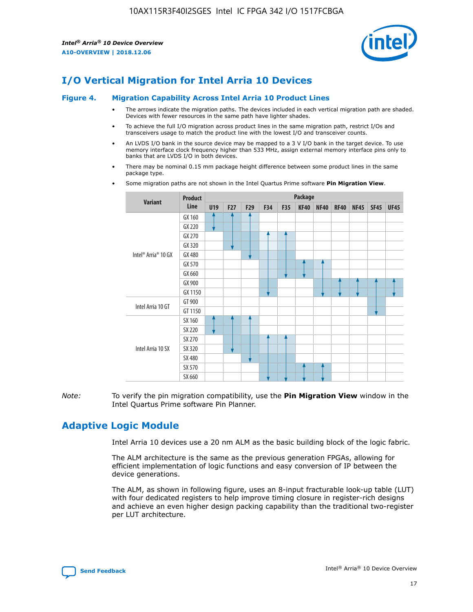

# **I/O Vertical Migration for Intel Arria 10 Devices**

#### **Figure 4. Migration Capability Across Intel Arria 10 Product Lines**

- The arrows indicate the migration paths. The devices included in each vertical migration path are shaded. Devices with fewer resources in the same path have lighter shades.
- To achieve the full I/O migration across product lines in the same migration path, restrict I/Os and transceivers usage to match the product line with the lowest I/O and transceiver counts.
- An LVDS I/O bank in the source device may be mapped to a 3 V I/O bank in the target device. To use memory interface clock frequency higher than 533 MHz, assign external memory interface pins only to banks that are LVDS I/O in both devices.
- There may be nominal 0.15 mm package height difference between some product lines in the same package type.
	- **Variant Product Line Package U19 F27 F29 F34 F35 KF40 NF40 RF40 NF45 SF45 UF45** Intel® Arria® 10 GX GX 160 GX 220 GX 270 GX 320 GX 480 GX 570 GX 660 GX 900 GX 1150 Intel Arria 10 GT GT 900 GT 1150 Intel Arria 10 SX SX 160 SX 220 SX 270 SX 320 SX 480 SX 570 SX 660
- Some migration paths are not shown in the Intel Quartus Prime software **Pin Migration View**.

*Note:* To verify the pin migration compatibility, use the **Pin Migration View** window in the Intel Quartus Prime software Pin Planner.

# **Adaptive Logic Module**

Intel Arria 10 devices use a 20 nm ALM as the basic building block of the logic fabric.

The ALM architecture is the same as the previous generation FPGAs, allowing for efficient implementation of logic functions and easy conversion of IP between the device generations.

The ALM, as shown in following figure, uses an 8-input fracturable look-up table (LUT) with four dedicated registers to help improve timing closure in register-rich designs and achieve an even higher design packing capability than the traditional two-register per LUT architecture.

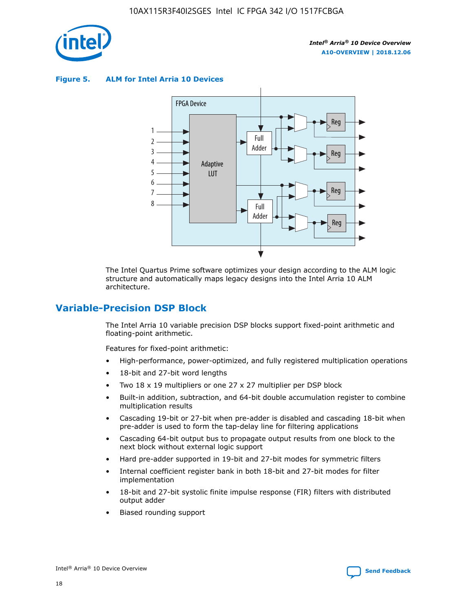

**Figure 5. ALM for Intel Arria 10 Devices**



The Intel Quartus Prime software optimizes your design according to the ALM logic structure and automatically maps legacy designs into the Intel Arria 10 ALM architecture.

## **Variable-Precision DSP Block**

The Intel Arria 10 variable precision DSP blocks support fixed-point arithmetic and floating-point arithmetic.

Features for fixed-point arithmetic:

- High-performance, power-optimized, and fully registered multiplication operations
- 18-bit and 27-bit word lengths
- Two 18 x 19 multipliers or one 27 x 27 multiplier per DSP block
- Built-in addition, subtraction, and 64-bit double accumulation register to combine multiplication results
- Cascading 19-bit or 27-bit when pre-adder is disabled and cascading 18-bit when pre-adder is used to form the tap-delay line for filtering applications
- Cascading 64-bit output bus to propagate output results from one block to the next block without external logic support
- Hard pre-adder supported in 19-bit and 27-bit modes for symmetric filters
- Internal coefficient register bank in both 18-bit and 27-bit modes for filter implementation
- 18-bit and 27-bit systolic finite impulse response (FIR) filters with distributed output adder
- Biased rounding support

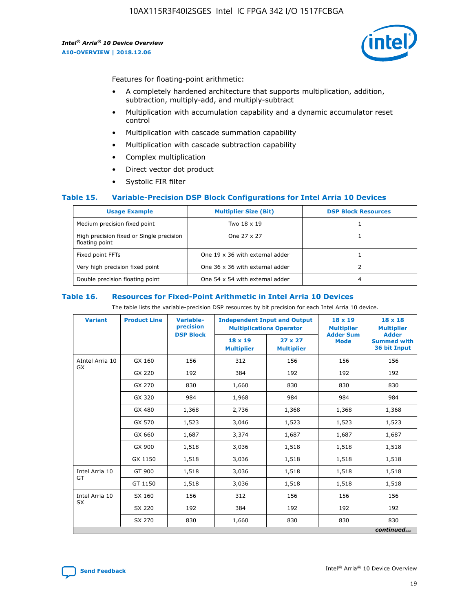

Features for floating-point arithmetic:

- A completely hardened architecture that supports multiplication, addition, subtraction, multiply-add, and multiply-subtract
- Multiplication with accumulation capability and a dynamic accumulator reset control
- Multiplication with cascade summation capability
- Multiplication with cascade subtraction capability
- Complex multiplication
- Direct vector dot product
- Systolic FIR filter

### **Table 15. Variable-Precision DSP Block Configurations for Intel Arria 10 Devices**

| <b>Usage Example</b>                                       | <b>Multiplier Size (Bit)</b>    | <b>DSP Block Resources</b> |
|------------------------------------------------------------|---------------------------------|----------------------------|
| Medium precision fixed point                               | Two 18 x 19                     |                            |
| High precision fixed or Single precision<br>floating point | One 27 x 27                     |                            |
| Fixed point FFTs                                           | One 19 x 36 with external adder |                            |
| Very high precision fixed point                            | One 36 x 36 with external adder |                            |
| Double precision floating point                            | One 54 x 54 with external adder | 4                          |

#### **Table 16. Resources for Fixed-Point Arithmetic in Intel Arria 10 Devices**

The table lists the variable-precision DSP resources by bit precision for each Intel Arria 10 device.

| <b>Variant</b>  | <b>Product Line</b> | Variable-<br>precision | <b>Independent Input and Output</b><br><b>Multiplications Operator</b> |                                     | 18 x 19<br><b>Multiplier</b><br><b>Adder Sum</b> | $18 \times 18$<br><b>Multiplier</b>                |
|-----------------|---------------------|------------------------|------------------------------------------------------------------------|-------------------------------------|--------------------------------------------------|----------------------------------------------------|
|                 |                     | <b>DSP Block</b>       | $18 \times 19$<br><b>Multiplier</b>                                    | $27 \times 27$<br><b>Multiplier</b> | <b>Mode</b>                                      | <b>Adder</b><br><b>Summed with</b><br>36 bit Input |
| AIntel Arria 10 | GX 160              | 156                    | 312                                                                    | 156                                 | 156                                              | 156                                                |
| <b>GX</b>       | GX 220              | 192                    | 384                                                                    | 192                                 | 192                                              | 192                                                |
|                 | GX 270              | 830                    | 1,660                                                                  | 830                                 | 830                                              | 830                                                |
|                 | GX 320              | 984                    | 1,968                                                                  | 984                                 | 984                                              | 984                                                |
|                 | GX 480              | 1,368                  | 2,736                                                                  | 1,368                               | 1,368                                            | 1,368                                              |
|                 | GX 570              | 1,523                  | 3,046                                                                  | 1,523                               | 1,523                                            | 1,523                                              |
|                 | GX 660              | 1,687                  | 3,374                                                                  | 1,687                               | 1,687                                            | 1,687                                              |
|                 | GX 900              | 1,518                  | 3,036                                                                  | 1,518                               | 1,518                                            | 1,518                                              |
|                 | GX 1150             | 1,518                  | 3,036                                                                  | 1,518                               | 1,518                                            | 1,518                                              |
| Intel Arria 10  | GT 900              | 1,518                  | 3,036                                                                  | 1,518                               | 1,518                                            | 1,518                                              |
| GT              | GT 1150             | 1,518                  | 3,036                                                                  | 1,518                               | 1,518                                            | 1,518                                              |
| Intel Arria 10  | SX 160              | 156                    | 312                                                                    | 156                                 | 156                                              | 156                                                |
| <b>SX</b>       | SX 220              | 192                    | 384                                                                    | 192                                 | 192                                              | 192                                                |
|                 | SX 270              | 830                    | 1,660                                                                  | 830                                 | 830                                              | 830                                                |
|                 |                     |                        |                                                                        |                                     |                                                  | continued                                          |

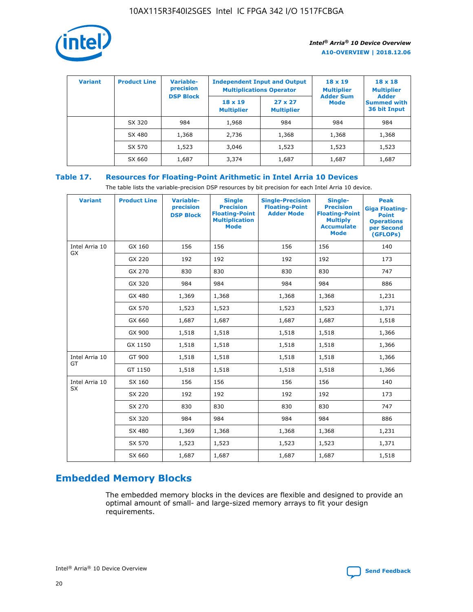

| <b>Variant</b> | <b>Product Line</b> | <b>Variable-</b><br>precision<br><b>DSP Block</b> | <b>Independent Input and Output</b><br><b>Multiplications Operator</b> |                                     | $18 \times 19$<br><b>Multiplier</b><br><b>Adder Sum</b> | $18 \times 18$<br><b>Multiplier</b><br><b>Adder</b> |  |
|----------------|---------------------|---------------------------------------------------|------------------------------------------------------------------------|-------------------------------------|---------------------------------------------------------|-----------------------------------------------------|--|
|                |                     |                                                   | $18 \times 19$<br><b>Multiplier</b>                                    | $27 \times 27$<br><b>Multiplier</b> | <b>Mode</b>                                             | <b>Summed with</b><br>36 bit Input                  |  |
|                | SX 320              | 984                                               | 1,968                                                                  | 984                                 | 984                                                     | 984                                                 |  |
|                | SX 480              | 1,368                                             | 2,736                                                                  | 1,368                               | 1,368                                                   | 1,368                                               |  |
|                | SX 570              | 1,523                                             | 3,046                                                                  | 1,523                               | 1,523                                                   | 1,523                                               |  |
|                | SX 660              | 1,687                                             | 3,374                                                                  | 1,687                               | 1,687                                                   | 1,687                                               |  |

## **Table 17. Resources for Floating-Point Arithmetic in Intel Arria 10 Devices**

The table lists the variable-precision DSP resources by bit precision for each Intel Arria 10 device.

| <b>Variant</b>              | <b>Product Line</b> | <b>Variable-</b><br>precision<br><b>DSP Block</b> | <b>Single</b><br><b>Precision</b><br><b>Floating-Point</b><br><b>Multiplication</b><br><b>Mode</b> | <b>Single-Precision</b><br><b>Floating-Point</b><br><b>Adder Mode</b> | Single-<br><b>Precision</b><br><b>Floating-Point</b><br><b>Multiply</b><br><b>Accumulate</b><br><b>Mode</b> | <b>Peak</b><br><b>Giga Floating-</b><br><b>Point</b><br><b>Operations</b><br>per Second<br>(GFLOPs) |
|-----------------------------|---------------------|---------------------------------------------------|----------------------------------------------------------------------------------------------------|-----------------------------------------------------------------------|-------------------------------------------------------------------------------------------------------------|-----------------------------------------------------------------------------------------------------|
| Intel Arria 10<br>GX        | GX 160              | 156                                               | 156                                                                                                | 156                                                                   | 156                                                                                                         | 140                                                                                                 |
|                             | GX 220              | 192                                               | 192                                                                                                | 192                                                                   | 192                                                                                                         | 173                                                                                                 |
|                             | GX 270              | 830                                               | 830                                                                                                | 830                                                                   | 830                                                                                                         | 747                                                                                                 |
|                             | GX 320              | 984                                               | 984                                                                                                | 984                                                                   | 984                                                                                                         | 886                                                                                                 |
|                             | GX 480              | 1,369                                             | 1,368                                                                                              | 1,368                                                                 | 1,368                                                                                                       | 1,231                                                                                               |
|                             | GX 570              | 1,523                                             | 1,523                                                                                              | 1,523                                                                 | 1,523                                                                                                       | 1,371                                                                                               |
|                             | GX 660              | 1,687                                             | 1,687                                                                                              | 1,687                                                                 | 1,687                                                                                                       | 1,518                                                                                               |
|                             | GX 900              | 1,518                                             | 1,518                                                                                              | 1,518                                                                 | 1,518                                                                                                       | 1,366                                                                                               |
|                             | GX 1150             | 1,518                                             | 1,518                                                                                              | 1,518                                                                 | 1,518                                                                                                       | 1,366                                                                                               |
| Intel Arria 10              | GT 900              | 1,518                                             | 1,518                                                                                              | 1,518                                                                 | 1,518                                                                                                       | 1,366                                                                                               |
| GT                          | GT 1150             | 1,518                                             | 1,518                                                                                              | 1,518                                                                 | 1,518                                                                                                       | 1,366                                                                                               |
| Intel Arria 10<br><b>SX</b> | SX 160              | 156                                               | 156                                                                                                | 156                                                                   | 156                                                                                                         | 140                                                                                                 |
|                             | SX 220              | 192                                               | 192                                                                                                | 192                                                                   | 192                                                                                                         | 173                                                                                                 |
|                             | SX 270              | 830                                               | 830                                                                                                | 830                                                                   | 830                                                                                                         | 747                                                                                                 |
|                             | SX 320              | 984                                               | 984                                                                                                | 984                                                                   | 984                                                                                                         | 886                                                                                                 |
|                             | SX 480              | 1,369                                             | 1,368                                                                                              | 1,368                                                                 | 1,368                                                                                                       | 1,231                                                                                               |
|                             | SX 570              | 1,523                                             | 1,523                                                                                              | 1,523                                                                 | 1,523                                                                                                       | 1,371                                                                                               |
|                             | SX 660              | 1,687                                             | 1,687                                                                                              | 1,687                                                                 | 1,687                                                                                                       | 1,518                                                                                               |

# **Embedded Memory Blocks**

The embedded memory blocks in the devices are flexible and designed to provide an optimal amount of small- and large-sized memory arrays to fit your design requirements.

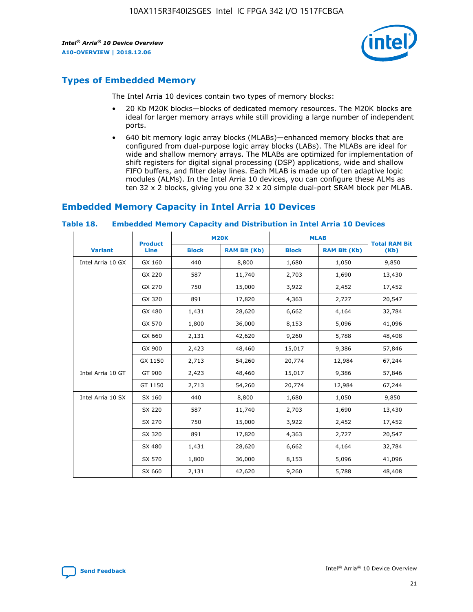

# **Types of Embedded Memory**

The Intel Arria 10 devices contain two types of memory blocks:

- 20 Kb M20K blocks—blocks of dedicated memory resources. The M20K blocks are ideal for larger memory arrays while still providing a large number of independent ports.
- 640 bit memory logic array blocks (MLABs)—enhanced memory blocks that are configured from dual-purpose logic array blocks (LABs). The MLABs are ideal for wide and shallow memory arrays. The MLABs are optimized for implementation of shift registers for digital signal processing (DSP) applications, wide and shallow FIFO buffers, and filter delay lines. Each MLAB is made up of ten adaptive logic modules (ALMs). In the Intel Arria 10 devices, you can configure these ALMs as ten 32 x 2 blocks, giving you one 32 x 20 simple dual-port SRAM block per MLAB.

## **Embedded Memory Capacity in Intel Arria 10 Devices**

|                   | <b>Product</b> |              | <b>M20K</b>         |              | <b>MLAB</b>         | <b>Total RAM Bit</b> |
|-------------------|----------------|--------------|---------------------|--------------|---------------------|----------------------|
| <b>Variant</b>    | Line           | <b>Block</b> | <b>RAM Bit (Kb)</b> | <b>Block</b> | <b>RAM Bit (Kb)</b> | (Kb)                 |
| Intel Arria 10 GX | GX 160         | 440          | 8,800               | 1,680        | 1,050               | 9,850                |
|                   | GX 220         | 587          | 11,740              | 2,703        | 1,690               | 13,430               |
|                   | GX 270         | 750          | 15,000              | 3,922        | 2,452               | 17,452               |
|                   | GX 320         | 891          | 17,820              | 4,363        | 2,727               | 20,547               |
|                   | GX 480         | 1,431        | 28,620              | 6,662        | 4,164               | 32,784               |
|                   | GX 570         | 1,800        | 36,000              | 8,153        | 5,096               | 41,096               |
|                   | GX 660         | 2,131        | 42,620              | 9,260        | 5,788               | 48,408               |
|                   | GX 900         | 2,423        | 48,460              | 15,017       | 9,386               | 57,846               |
|                   | GX 1150        | 2,713        | 54,260              | 20,774       | 12,984              | 67,244               |
| Intel Arria 10 GT | GT 900         | 2,423        | 48,460              | 15,017       | 9,386               | 57,846               |
|                   | GT 1150        | 2,713        | 54,260              | 20,774       | 12,984              | 67,244               |
| Intel Arria 10 SX | SX 160         | 440          | 8,800               | 1,680        | 1,050               | 9,850                |
|                   | SX 220         | 587          | 11,740              | 2,703        | 1,690               | 13,430               |
|                   | SX 270         | 750          | 15,000              | 3,922        | 2,452               | 17,452               |
|                   | SX 320         | 891          | 17,820              | 4,363        | 2,727               | 20,547               |
|                   | SX 480         | 1,431        | 28,620              | 6,662        | 4,164               | 32,784               |
|                   | SX 570         | 1,800        | 36,000              | 8,153        | 5,096               | 41,096               |
|                   | SX 660         | 2,131        | 42,620              | 9,260        | 5,788               | 48,408               |

#### **Table 18. Embedded Memory Capacity and Distribution in Intel Arria 10 Devices**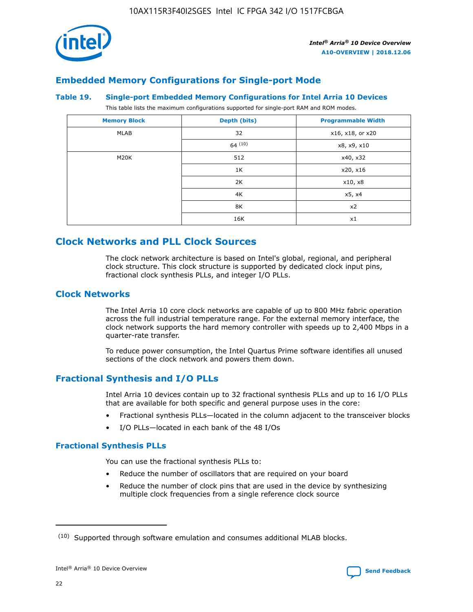

## **Embedded Memory Configurations for Single-port Mode**

#### **Table 19. Single-port Embedded Memory Configurations for Intel Arria 10 Devices**

This table lists the maximum configurations supported for single-port RAM and ROM modes.

| <b>Memory Block</b> | Depth (bits) | <b>Programmable Width</b> |
|---------------------|--------------|---------------------------|
| MLAB                | 32           | x16, x18, or x20          |
|                     | 64(10)       | x8, x9, x10               |
| M20K                | 512          | x40, x32                  |
|                     | 1K           | x20, x16                  |
|                     | 2K           | x10, x8                   |
|                     | 4K           | x5, x4                    |
|                     | 8K           | x2                        |
|                     | 16K          | x1                        |

# **Clock Networks and PLL Clock Sources**

The clock network architecture is based on Intel's global, regional, and peripheral clock structure. This clock structure is supported by dedicated clock input pins, fractional clock synthesis PLLs, and integer I/O PLLs.

## **Clock Networks**

The Intel Arria 10 core clock networks are capable of up to 800 MHz fabric operation across the full industrial temperature range. For the external memory interface, the clock network supports the hard memory controller with speeds up to 2,400 Mbps in a quarter-rate transfer.

To reduce power consumption, the Intel Quartus Prime software identifies all unused sections of the clock network and powers them down.

## **Fractional Synthesis and I/O PLLs**

Intel Arria 10 devices contain up to 32 fractional synthesis PLLs and up to 16 I/O PLLs that are available for both specific and general purpose uses in the core:

- Fractional synthesis PLLs—located in the column adjacent to the transceiver blocks
- I/O PLLs—located in each bank of the 48 I/Os

### **Fractional Synthesis PLLs**

You can use the fractional synthesis PLLs to:

- Reduce the number of oscillators that are required on your board
- Reduce the number of clock pins that are used in the device by synthesizing multiple clock frequencies from a single reference clock source

<sup>(10)</sup> Supported through software emulation and consumes additional MLAB blocks.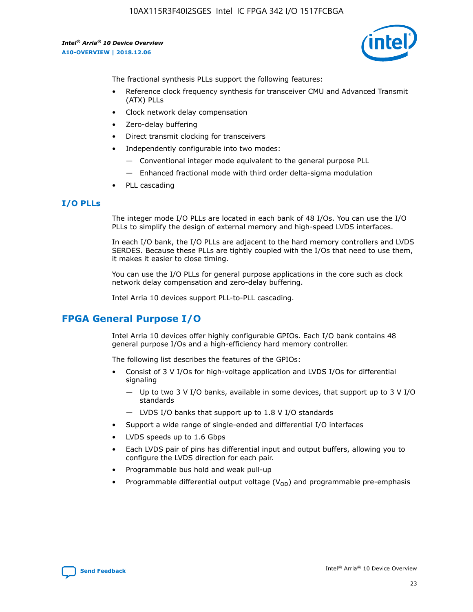

The fractional synthesis PLLs support the following features:

- Reference clock frequency synthesis for transceiver CMU and Advanced Transmit (ATX) PLLs
- Clock network delay compensation
- Zero-delay buffering
- Direct transmit clocking for transceivers
- Independently configurable into two modes:
	- Conventional integer mode equivalent to the general purpose PLL
	- Enhanced fractional mode with third order delta-sigma modulation
- PLL cascading

## **I/O PLLs**

The integer mode I/O PLLs are located in each bank of 48 I/Os. You can use the I/O PLLs to simplify the design of external memory and high-speed LVDS interfaces.

In each I/O bank, the I/O PLLs are adjacent to the hard memory controllers and LVDS SERDES. Because these PLLs are tightly coupled with the I/Os that need to use them, it makes it easier to close timing.

You can use the I/O PLLs for general purpose applications in the core such as clock network delay compensation and zero-delay buffering.

Intel Arria 10 devices support PLL-to-PLL cascading.

# **FPGA General Purpose I/O**

Intel Arria 10 devices offer highly configurable GPIOs. Each I/O bank contains 48 general purpose I/Os and a high-efficiency hard memory controller.

The following list describes the features of the GPIOs:

- Consist of 3 V I/Os for high-voltage application and LVDS I/Os for differential signaling
	- Up to two 3 V I/O banks, available in some devices, that support up to 3 V I/O standards
	- LVDS I/O banks that support up to 1.8 V I/O standards
- Support a wide range of single-ended and differential I/O interfaces
- LVDS speeds up to 1.6 Gbps
- Each LVDS pair of pins has differential input and output buffers, allowing you to configure the LVDS direction for each pair.
- Programmable bus hold and weak pull-up
- Programmable differential output voltage  $(V_{OD})$  and programmable pre-emphasis

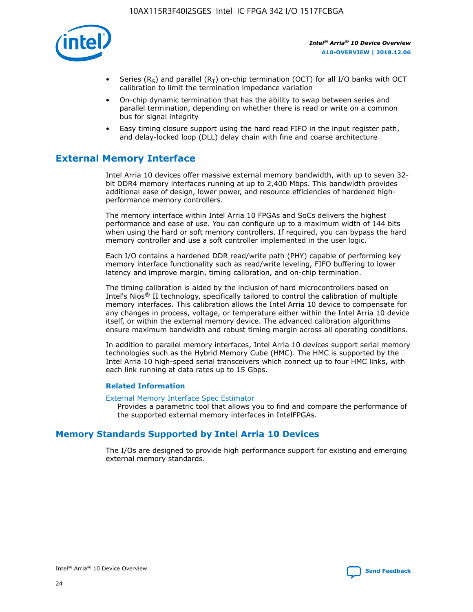

- Series (R<sub>S</sub>) and parallel (R<sub>T</sub>) on-chip termination (OCT) for all I/O banks with OCT calibration to limit the termination impedance variation
- On-chip dynamic termination that has the ability to swap between series and parallel termination, depending on whether there is read or write on a common bus for signal integrity
- Easy timing closure support using the hard read FIFO in the input register path, and delay-locked loop (DLL) delay chain with fine and coarse architecture

# **External Memory Interface**

Intel Arria 10 devices offer massive external memory bandwidth, with up to seven 32 bit DDR4 memory interfaces running at up to 2,400 Mbps. This bandwidth provides additional ease of design, lower power, and resource efficiencies of hardened highperformance memory controllers.

The memory interface within Intel Arria 10 FPGAs and SoCs delivers the highest performance and ease of use. You can configure up to a maximum width of 144 bits when using the hard or soft memory controllers. If required, you can bypass the hard memory controller and use a soft controller implemented in the user logic.

Each I/O contains a hardened DDR read/write path (PHY) capable of performing key memory interface functionality such as read/write leveling, FIFO buffering to lower latency and improve margin, timing calibration, and on-chip termination.

The timing calibration is aided by the inclusion of hard microcontrollers based on Intel's Nios® II technology, specifically tailored to control the calibration of multiple memory interfaces. This calibration allows the Intel Arria 10 device to compensate for any changes in process, voltage, or temperature either within the Intel Arria 10 device itself, or within the external memory device. The advanced calibration algorithms ensure maximum bandwidth and robust timing margin across all operating conditions.

In addition to parallel memory interfaces, Intel Arria 10 devices support serial memory technologies such as the Hybrid Memory Cube (HMC). The HMC is supported by the Intel Arria 10 high-speed serial transceivers which connect up to four HMC links, with each link running at data rates up to 15 Gbps.

### **Related Information**

#### [External Memory Interface Spec Estimator](http://www.altera.com/technology/memory/estimator/mem-emif-index.html)

Provides a parametric tool that allows you to find and compare the performance of the supported external memory interfaces in IntelFPGAs.

## **Memory Standards Supported by Intel Arria 10 Devices**

The I/Os are designed to provide high performance support for existing and emerging external memory standards.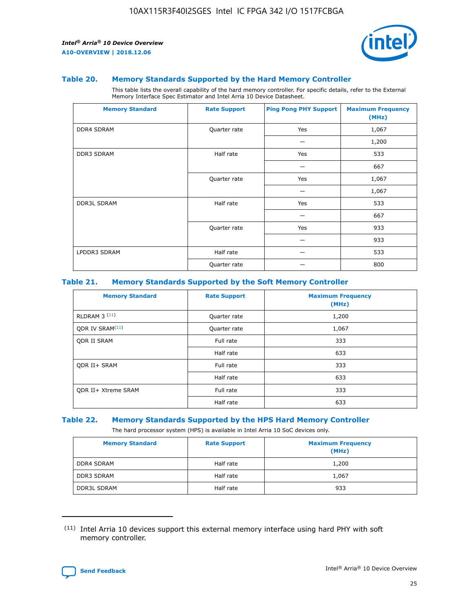

#### **Table 20. Memory Standards Supported by the Hard Memory Controller**

This table lists the overall capability of the hard memory controller. For specific details, refer to the External Memory Interface Spec Estimator and Intel Arria 10 Device Datasheet.

| <b>Memory Standard</b> | <b>Rate Support</b> | <b>Ping Pong PHY Support</b> | <b>Maximum Frequency</b><br>(MHz) |
|------------------------|---------------------|------------------------------|-----------------------------------|
| <b>DDR4 SDRAM</b>      | Quarter rate        | Yes                          | 1,067                             |
|                        |                     |                              | 1,200                             |
| DDR3 SDRAM             | Half rate           | Yes                          | 533                               |
|                        |                     |                              | 667                               |
|                        | Quarter rate        | Yes                          | 1,067                             |
|                        |                     |                              | 1,067                             |
| <b>DDR3L SDRAM</b>     | Half rate           | Yes                          | 533                               |
|                        |                     |                              | 667                               |
|                        | Quarter rate        | Yes                          | 933                               |
|                        |                     |                              | 933                               |
| LPDDR3 SDRAM           | Half rate           |                              | 533                               |
|                        | Quarter rate        |                              | 800                               |

#### **Table 21. Memory Standards Supported by the Soft Memory Controller**

| <b>Memory Standard</b>      | <b>Rate Support</b> | <b>Maximum Frequency</b><br>(MHz) |
|-----------------------------|---------------------|-----------------------------------|
| <b>RLDRAM 3 (11)</b>        | Quarter rate        | 1,200                             |
| ODR IV SRAM <sup>(11)</sup> | Quarter rate        | 1,067                             |
| <b>ODR II SRAM</b>          | Full rate           | 333                               |
|                             | Half rate           | 633                               |
| <b>ODR II+ SRAM</b>         | Full rate           | 333                               |
|                             | Half rate           | 633                               |
| <b>ODR II+ Xtreme SRAM</b>  | Full rate           | 333                               |
|                             | Half rate           | 633                               |

#### **Table 22. Memory Standards Supported by the HPS Hard Memory Controller**

The hard processor system (HPS) is available in Intel Arria 10 SoC devices only.

| <b>Memory Standard</b> | <b>Rate Support</b> | <b>Maximum Frequency</b><br>(MHz) |
|------------------------|---------------------|-----------------------------------|
| <b>DDR4 SDRAM</b>      | Half rate           | 1,200                             |
| DDR3 SDRAM             | Half rate           | 1,067                             |
| <b>DDR3L SDRAM</b>     | Half rate           | 933                               |

<sup>(11)</sup> Intel Arria 10 devices support this external memory interface using hard PHY with soft memory controller.

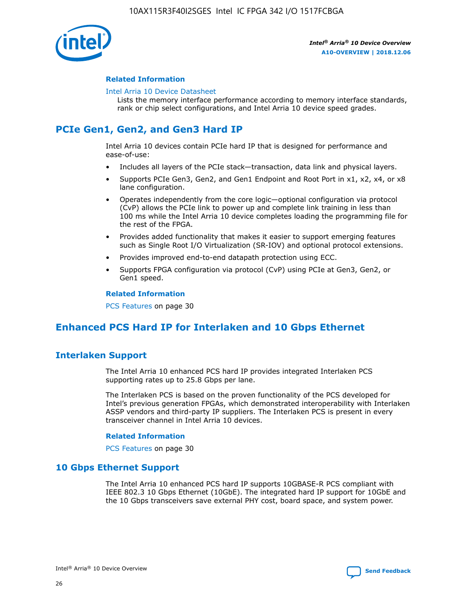

### **Related Information**

#### [Intel Arria 10 Device Datasheet](https://www.intel.com/content/www/us/en/programmable/documentation/mcn1413182292568.html#mcn1413182153340)

Lists the memory interface performance according to memory interface standards, rank or chip select configurations, and Intel Arria 10 device speed grades.

# **PCIe Gen1, Gen2, and Gen3 Hard IP**

Intel Arria 10 devices contain PCIe hard IP that is designed for performance and ease-of-use:

- Includes all layers of the PCIe stack—transaction, data link and physical layers.
- Supports PCIe Gen3, Gen2, and Gen1 Endpoint and Root Port in x1, x2, x4, or x8 lane configuration.
- Operates independently from the core logic—optional configuration via protocol (CvP) allows the PCIe link to power up and complete link training in less than 100 ms while the Intel Arria 10 device completes loading the programming file for the rest of the FPGA.
- Provides added functionality that makes it easier to support emerging features such as Single Root I/O Virtualization (SR-IOV) and optional protocol extensions.
- Provides improved end-to-end datapath protection using ECC.
- Supports FPGA configuration via protocol (CvP) using PCIe at Gen3, Gen2, or Gen1 speed.

#### **Related Information**

PCS Features on page 30

# **Enhanced PCS Hard IP for Interlaken and 10 Gbps Ethernet**

## **Interlaken Support**

The Intel Arria 10 enhanced PCS hard IP provides integrated Interlaken PCS supporting rates up to 25.8 Gbps per lane.

The Interlaken PCS is based on the proven functionality of the PCS developed for Intel's previous generation FPGAs, which demonstrated interoperability with Interlaken ASSP vendors and third-party IP suppliers. The Interlaken PCS is present in every transceiver channel in Intel Arria 10 devices.

### **Related Information**

PCS Features on page 30

## **10 Gbps Ethernet Support**

The Intel Arria 10 enhanced PCS hard IP supports 10GBASE-R PCS compliant with IEEE 802.3 10 Gbps Ethernet (10GbE). The integrated hard IP support for 10GbE and the 10 Gbps transceivers save external PHY cost, board space, and system power.

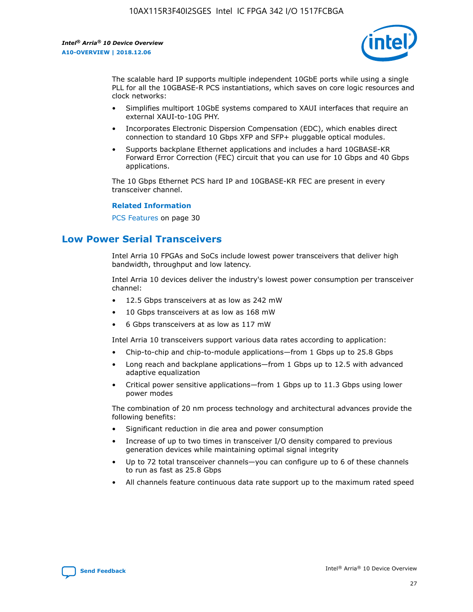

The scalable hard IP supports multiple independent 10GbE ports while using a single PLL for all the 10GBASE-R PCS instantiations, which saves on core logic resources and clock networks:

- Simplifies multiport 10GbE systems compared to XAUI interfaces that require an external XAUI-to-10G PHY.
- Incorporates Electronic Dispersion Compensation (EDC), which enables direct connection to standard 10 Gbps XFP and SFP+ pluggable optical modules.
- Supports backplane Ethernet applications and includes a hard 10GBASE-KR Forward Error Correction (FEC) circuit that you can use for 10 Gbps and 40 Gbps applications.

The 10 Gbps Ethernet PCS hard IP and 10GBASE-KR FEC are present in every transceiver channel.

#### **Related Information**

PCS Features on page 30

# **Low Power Serial Transceivers**

Intel Arria 10 FPGAs and SoCs include lowest power transceivers that deliver high bandwidth, throughput and low latency.

Intel Arria 10 devices deliver the industry's lowest power consumption per transceiver channel:

- 12.5 Gbps transceivers at as low as 242 mW
- 10 Gbps transceivers at as low as 168 mW
- 6 Gbps transceivers at as low as 117 mW

Intel Arria 10 transceivers support various data rates according to application:

- Chip-to-chip and chip-to-module applications—from 1 Gbps up to 25.8 Gbps
- Long reach and backplane applications—from 1 Gbps up to 12.5 with advanced adaptive equalization
- Critical power sensitive applications—from 1 Gbps up to 11.3 Gbps using lower power modes

The combination of 20 nm process technology and architectural advances provide the following benefits:

- Significant reduction in die area and power consumption
- Increase of up to two times in transceiver I/O density compared to previous generation devices while maintaining optimal signal integrity
- Up to 72 total transceiver channels—you can configure up to 6 of these channels to run as fast as 25.8 Gbps
- All channels feature continuous data rate support up to the maximum rated speed

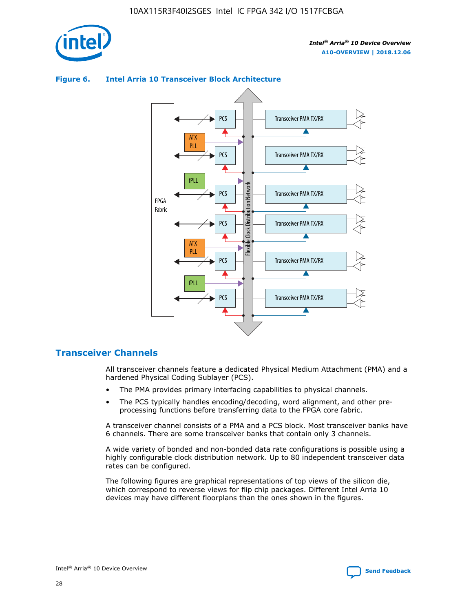



## **Figure 6. Intel Arria 10 Transceiver Block Architecture**

## **Transceiver Channels**

All transceiver channels feature a dedicated Physical Medium Attachment (PMA) and a hardened Physical Coding Sublayer (PCS).

- The PMA provides primary interfacing capabilities to physical channels.
- The PCS typically handles encoding/decoding, word alignment, and other preprocessing functions before transferring data to the FPGA core fabric.

A transceiver channel consists of a PMA and a PCS block. Most transceiver banks have 6 channels. There are some transceiver banks that contain only 3 channels.

A wide variety of bonded and non-bonded data rate configurations is possible using a highly configurable clock distribution network. Up to 80 independent transceiver data rates can be configured.

The following figures are graphical representations of top views of the silicon die, which correspond to reverse views for flip chip packages. Different Intel Arria 10 devices may have different floorplans than the ones shown in the figures.

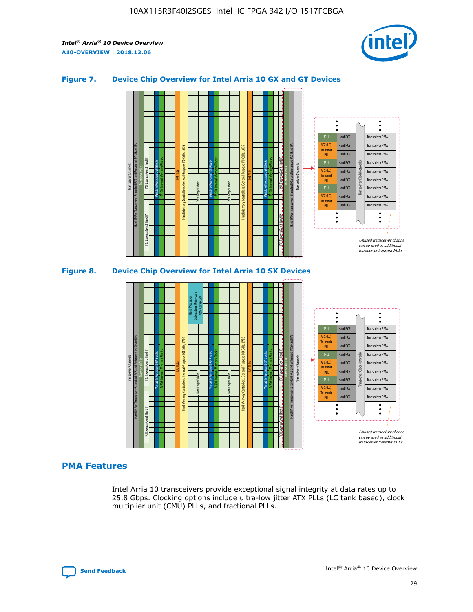

## **Figure 7. Device Chip Overview for Intel Arria 10 GX and GT Devices**



M20K Internal Memory Blocks Core Logic Fabric Transceiver Channels Hard IP Per Transceiver: Standard PCS and Enhanced PCS Hard IPs PCI Express Gen3 Hard IP Fractional PLLs M20K Internal Memory Blocks PCI Express Gen3 Hard IP Variable Precision DSP Blocks I/O PLLs Hard Memory Controllers, General-Purpose I/O Cells, LVDS Hard Processor Subsystem, Dual-Core ARM Cortex A9 M20K Internal Memory Blocks Variable Precision DSP Blocks M20K Internal Memory Blocks Core Logic Fabric I/O PLLs Hard Memory Controllers, General-Purpose I/O Cells, LVDS M20K Internal Memory Blocks Variable Precision DSP Blocks M20K Internal Memory Blocks Transceiver Channels Hard IP Per Transceiver: Standard PCS and Enhanced PCS Hard IPs PCI Express Gen3 Hard IP Fractional PLLs PCI Express Gen3 Hard IP Hard PCS Hard PCS Hard PCS Hard PCS Hard PCS Hard PCS Hard PCS Hard PCS Hard PCS Transceiver PMA Transceiver PMA Transceiver PMA Transceiver PMA Transceiver PMA Transceiver PMA Transceiver PMA Unused transceiver chann can be used as additional transceiver transmit PLLs Transceiver PMA Transceiver PMA Transceiver Clock Networks fPLL ATX (LC) **Transmit** PLL fPLL ATX (LC) Transmi PLL fPLL ATX (LC) **Transmit** PLL

## **PMA Features**

Intel Arria 10 transceivers provide exceptional signal integrity at data rates up to 25.8 Gbps. Clocking options include ultra-low jitter ATX PLLs (LC tank based), clock multiplier unit (CMU) PLLs, and fractional PLLs.

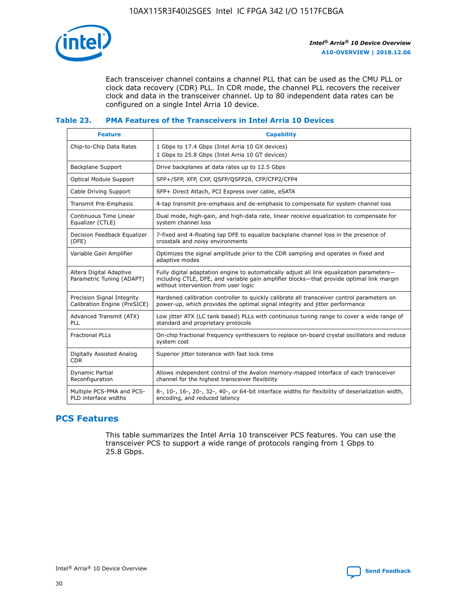

Each transceiver channel contains a channel PLL that can be used as the CMU PLL or clock data recovery (CDR) PLL. In CDR mode, the channel PLL recovers the receiver clock and data in the transceiver channel. Up to 80 independent data rates can be configured on a single Intel Arria 10 device.

## **Table 23. PMA Features of the Transceivers in Intel Arria 10 Devices**

| <b>Feature</b>                                             | <b>Capability</b>                                                                                                                                                                                                             |
|------------------------------------------------------------|-------------------------------------------------------------------------------------------------------------------------------------------------------------------------------------------------------------------------------|
| Chip-to-Chip Data Rates                                    | 1 Gbps to 17.4 Gbps (Intel Arria 10 GX devices)<br>1 Gbps to 25.8 Gbps (Intel Arria 10 GT devices)                                                                                                                            |
| <b>Backplane Support</b>                                   | Drive backplanes at data rates up to 12.5 Gbps                                                                                                                                                                                |
| <b>Optical Module Support</b>                              | SFP+/SFP, XFP, CXP, QSFP/QSFP28, CFP/CFP2/CFP4                                                                                                                                                                                |
| Cable Driving Support                                      | SFP+ Direct Attach, PCI Express over cable, eSATA                                                                                                                                                                             |
| Transmit Pre-Emphasis                                      | 4-tap transmit pre-emphasis and de-emphasis to compensate for system channel loss                                                                                                                                             |
| Continuous Time Linear<br>Equalizer (CTLE)                 | Dual mode, high-gain, and high-data rate, linear receive equalization to compensate for<br>system channel loss                                                                                                                |
| Decision Feedback Equalizer<br>(DFE)                       | 7-fixed and 4-floating tap DFE to equalize backplane channel loss in the presence of<br>crosstalk and noisy environments                                                                                                      |
| Variable Gain Amplifier                                    | Optimizes the signal amplitude prior to the CDR sampling and operates in fixed and<br>adaptive modes                                                                                                                          |
| Altera Digital Adaptive<br>Parametric Tuning (ADAPT)       | Fully digital adaptation engine to automatically adjust all link equalization parameters-<br>including CTLE, DFE, and variable gain amplifier blocks—that provide optimal link margin<br>without intervention from user logic |
| Precision Signal Integrity<br>Calibration Engine (PreSICE) | Hardened calibration controller to quickly calibrate all transceiver control parameters on<br>power-up, which provides the optimal signal integrity and jitter performance                                                    |
| Advanced Transmit (ATX)<br>PLL                             | Low jitter ATX (LC tank based) PLLs with continuous tuning range to cover a wide range of<br>standard and proprietary protocols                                                                                               |
| <b>Fractional PLLs</b>                                     | On-chip fractional frequency synthesizers to replace on-board crystal oscillators and reduce<br>system cost                                                                                                                   |
| Digitally Assisted Analog<br><b>CDR</b>                    | Superior jitter tolerance with fast lock time                                                                                                                                                                                 |
| Dynamic Partial<br>Reconfiguration                         | Allows independent control of the Avalon memory-mapped interface of each transceiver<br>channel for the highest transceiver flexibility                                                                                       |
| Multiple PCS-PMA and PCS-<br>PLD interface widths          | 8-, 10-, 16-, 20-, 32-, 40-, or 64-bit interface widths for flexibility of deserialization width,<br>encoding, and reduced latency                                                                                            |

## **PCS Features**

This table summarizes the Intel Arria 10 transceiver PCS features. You can use the transceiver PCS to support a wide range of protocols ranging from 1 Gbps to 25.8 Gbps.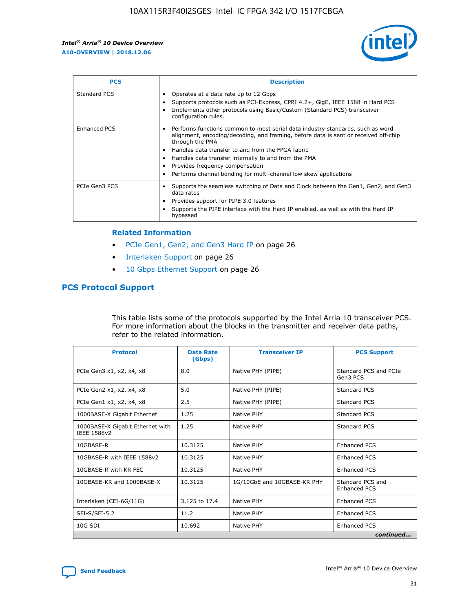

| <b>PCS</b>    | <b>Description</b>                                                                                                                                                                                                                                                                                                                                                                                             |
|---------------|----------------------------------------------------------------------------------------------------------------------------------------------------------------------------------------------------------------------------------------------------------------------------------------------------------------------------------------------------------------------------------------------------------------|
| Standard PCS  | Operates at a data rate up to 12 Gbps<br>Supports protocols such as PCI-Express, CPRI 4.2+, GigE, IEEE 1588 in Hard PCS<br>Implements other protocols using Basic/Custom (Standard PCS) transceiver<br>configuration rules.                                                                                                                                                                                    |
| Enhanced PCS  | Performs functions common to most serial data industry standards, such as word<br>alignment, encoding/decoding, and framing, before data is sent or received off-chip<br>through the PMA<br>• Handles data transfer to and from the FPGA fabric<br>Handles data transfer internally to and from the PMA<br>Provides frequency compensation<br>Performs channel bonding for multi-channel low skew applications |
| PCIe Gen3 PCS | Supports the seamless switching of Data and Clock between the Gen1, Gen2, and Gen3<br>data rates<br>Provides support for PIPE 3.0 features<br>Supports the PIPE interface with the Hard IP enabled, as well as with the Hard IP<br>bypassed                                                                                                                                                                    |

#### **Related Information**

- PCIe Gen1, Gen2, and Gen3 Hard IP on page 26
- Interlaken Support on page 26
- 10 Gbps Ethernet Support on page 26

## **PCS Protocol Support**

This table lists some of the protocols supported by the Intel Arria 10 transceiver PCS. For more information about the blocks in the transmitter and receiver data paths, refer to the related information.

| <b>Protocol</b>                                 | <b>Data Rate</b><br>(Gbps) | <b>Transceiver IP</b>       | <b>PCS Support</b>                      |
|-------------------------------------------------|----------------------------|-----------------------------|-----------------------------------------|
| PCIe Gen3 x1, x2, x4, x8                        | 8.0                        | Native PHY (PIPE)           | Standard PCS and PCIe<br>Gen3 PCS       |
| PCIe Gen2 x1, x2, x4, x8                        | 5.0                        | Native PHY (PIPE)           | <b>Standard PCS</b>                     |
| PCIe Gen1 x1, x2, x4, x8                        | 2.5                        | Native PHY (PIPE)           | Standard PCS                            |
| 1000BASE-X Gigabit Ethernet                     | 1.25                       | Native PHY                  | <b>Standard PCS</b>                     |
| 1000BASE-X Gigabit Ethernet with<br>IEEE 1588v2 | 1.25                       | Native PHY                  | Standard PCS                            |
| 10GBASE-R                                       | 10.3125                    | Native PHY                  | <b>Enhanced PCS</b>                     |
| 10GBASE-R with IEEE 1588v2                      | 10.3125                    | Native PHY                  | <b>Enhanced PCS</b>                     |
| 10GBASE-R with KR FEC                           | 10.3125                    | Native PHY                  | <b>Enhanced PCS</b>                     |
| 10GBASE-KR and 1000BASE-X                       | 10.3125                    | 1G/10GbE and 10GBASE-KR PHY | Standard PCS and<br><b>Enhanced PCS</b> |
| Interlaken (CEI-6G/11G)                         | 3.125 to 17.4              | Native PHY                  | <b>Enhanced PCS</b>                     |
| SFI-S/SFI-5.2                                   | 11.2                       | Native PHY                  | <b>Enhanced PCS</b>                     |
| $10G$ SDI                                       | 10.692                     | Native PHY                  | <b>Enhanced PCS</b>                     |
|                                                 |                            |                             | continued                               |

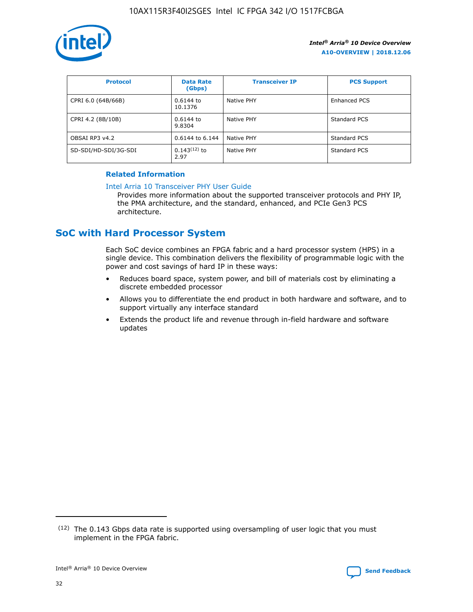

| <b>Protocol</b>      | <b>Data Rate</b><br>(Gbps) | <b>Transceiver IP</b> | <b>PCS Support</b> |
|----------------------|----------------------------|-----------------------|--------------------|
| CPRI 6.0 (64B/66B)   | 0.6144 to<br>10.1376       | Native PHY            | Enhanced PCS       |
| CPRI 4.2 (8B/10B)    | $0.6144$ to<br>9.8304      | Native PHY            | Standard PCS       |
| OBSAI RP3 v4.2       | 0.6144 to 6.144            | Native PHY            | Standard PCS       |
| SD-SDI/HD-SDI/3G-SDI | $0.143(12)$ to<br>2.97     | Native PHY            | Standard PCS       |

## **Related Information**

#### [Intel Arria 10 Transceiver PHY User Guide](https://www.intel.com/content/www/us/en/programmable/documentation/nik1398707230472.html#nik1398707091164)

Provides more information about the supported transceiver protocols and PHY IP, the PMA architecture, and the standard, enhanced, and PCIe Gen3 PCS architecture.

# **SoC with Hard Processor System**

Each SoC device combines an FPGA fabric and a hard processor system (HPS) in a single device. This combination delivers the flexibility of programmable logic with the power and cost savings of hard IP in these ways:

- Reduces board space, system power, and bill of materials cost by eliminating a discrete embedded processor
- Allows you to differentiate the end product in both hardware and software, and to support virtually any interface standard
- Extends the product life and revenue through in-field hardware and software updates

<sup>(12)</sup> The 0.143 Gbps data rate is supported using oversampling of user logic that you must implement in the FPGA fabric.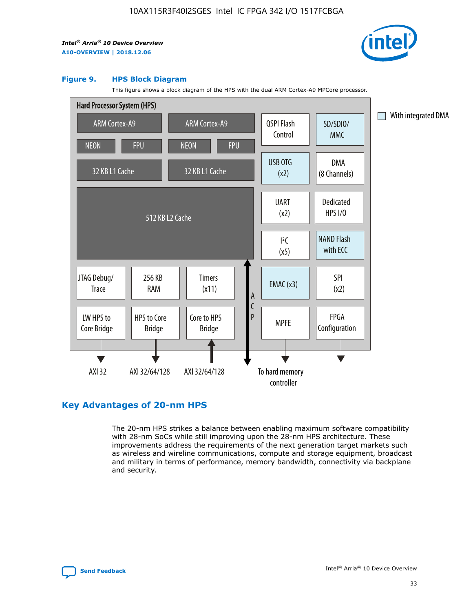

#### **Figure 9. HPS Block Diagram**

This figure shows a block diagram of the HPS with the dual ARM Cortex-A9 MPCore processor.



## **Key Advantages of 20-nm HPS**

The 20-nm HPS strikes a balance between enabling maximum software compatibility with 28-nm SoCs while still improving upon the 28-nm HPS architecture. These improvements address the requirements of the next generation target markets such as wireless and wireline communications, compute and storage equipment, broadcast and military in terms of performance, memory bandwidth, connectivity via backplane and security.

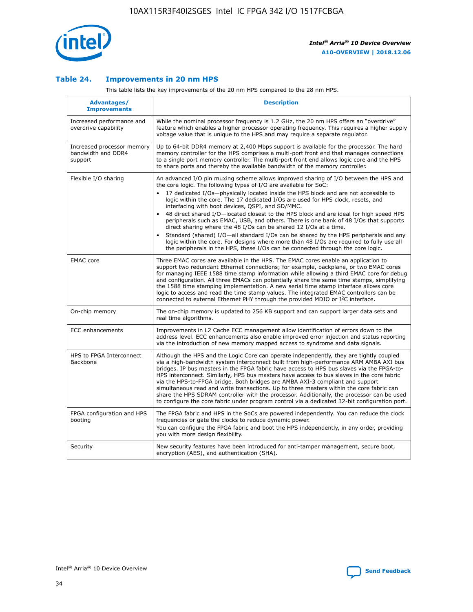

## **Table 24. Improvements in 20 nm HPS**

This table lists the key improvements of the 20 nm HPS compared to the 28 nm HPS.

| Advantages/<br><b>Improvements</b>                          | <b>Description</b>                                                                                                                                                                                                                                                                                                                                                                                                                                                                                                                                                                                                                                                                                                                                                                                                                                                                                                                   |
|-------------------------------------------------------------|--------------------------------------------------------------------------------------------------------------------------------------------------------------------------------------------------------------------------------------------------------------------------------------------------------------------------------------------------------------------------------------------------------------------------------------------------------------------------------------------------------------------------------------------------------------------------------------------------------------------------------------------------------------------------------------------------------------------------------------------------------------------------------------------------------------------------------------------------------------------------------------------------------------------------------------|
| Increased performance and<br>overdrive capability           | While the nominal processor frequency is 1.2 GHz, the 20 nm HPS offers an "overdrive"<br>feature which enables a higher processor operating frequency. This requires a higher supply<br>voltage value that is unique to the HPS and may require a separate regulator.                                                                                                                                                                                                                                                                                                                                                                                                                                                                                                                                                                                                                                                                |
| Increased processor memory<br>bandwidth and DDR4<br>support | Up to 64-bit DDR4 memory at 2,400 Mbps support is available for the processor. The hard<br>memory controller for the HPS comprises a multi-port front end that manages connections<br>to a single port memory controller. The multi-port front end allows logic core and the HPS<br>to share ports and thereby the available bandwidth of the memory controller.                                                                                                                                                                                                                                                                                                                                                                                                                                                                                                                                                                     |
| Flexible I/O sharing                                        | An advanced I/O pin muxing scheme allows improved sharing of I/O between the HPS and<br>the core logic. The following types of I/O are available for SoC:<br>17 dedicated I/Os-physically located inside the HPS block and are not accessible to<br>logic within the core. The 17 dedicated I/Os are used for HPS clock, resets, and<br>interfacing with boot devices, QSPI, and SD/MMC.<br>48 direct shared I/O-located closest to the HPS block and are ideal for high speed HPS<br>$\bullet$<br>peripherals such as EMAC, USB, and others. There is one bank of 48 I/Os that supports<br>direct sharing where the 48 I/Os can be shared 12 I/Os at a time.<br>Standard (shared) I/O-all standard I/Os can be shared by the HPS peripherals and any<br>logic within the core. For designs where more than 48 I/Os are required to fully use all<br>the peripherals in the HPS, these I/Os can be connected through the core logic. |
| <b>EMAC</b> core                                            | Three EMAC cores are available in the HPS. The EMAC cores enable an application to<br>support two redundant Ethernet connections; for example, backplane, or two EMAC cores<br>for managing IEEE 1588 time stamp information while allowing a third EMAC core for debug<br>and configuration. All three EMACs can potentially share the same time stamps, simplifying<br>the 1588 time stamping implementation. A new serial time stamp interface allows core<br>logic to access and read the time stamp values. The integrated EMAC controllers can be<br>connected to external Ethernet PHY through the provided MDIO or I <sup>2</sup> C interface.                                                                                                                                                                                                                                                                               |
| On-chip memory                                              | The on-chip memory is updated to 256 KB support and can support larger data sets and<br>real time algorithms.                                                                                                                                                                                                                                                                                                                                                                                                                                                                                                                                                                                                                                                                                                                                                                                                                        |
| <b>ECC</b> enhancements                                     | Improvements in L2 Cache ECC management allow identification of errors down to the<br>address level. ECC enhancements also enable improved error injection and status reporting<br>via the introduction of new memory mapped access to syndrome and data signals.                                                                                                                                                                                                                                                                                                                                                                                                                                                                                                                                                                                                                                                                    |
| HPS to FPGA Interconnect<br>Backbone                        | Although the HPS and the Logic Core can operate independently, they are tightly coupled<br>via a high-bandwidth system interconnect built from high-performance ARM AMBA AXI bus<br>bridges. IP bus masters in the FPGA fabric have access to HPS bus slaves via the FPGA-to-<br>HPS interconnect. Similarly, HPS bus masters have access to bus slaves in the core fabric<br>via the HPS-to-FPGA bridge. Both bridges are AMBA AXI-3 compliant and support<br>simultaneous read and write transactions. Up to three masters within the core fabric can<br>share the HPS SDRAM controller with the processor. Additionally, the processor can be used<br>to configure the core fabric under program control via a dedicated 32-bit configuration port.                                                                                                                                                                               |
| FPGA configuration and HPS<br>booting                       | The FPGA fabric and HPS in the SoCs are powered independently. You can reduce the clock<br>frequencies or gate the clocks to reduce dynamic power.<br>You can configure the FPGA fabric and boot the HPS independently, in any order, providing<br>you with more design flexibility.                                                                                                                                                                                                                                                                                                                                                                                                                                                                                                                                                                                                                                                 |
| Security                                                    | New security features have been introduced for anti-tamper management, secure boot,<br>encryption (AES), and authentication (SHA).                                                                                                                                                                                                                                                                                                                                                                                                                                                                                                                                                                                                                                                                                                                                                                                                   |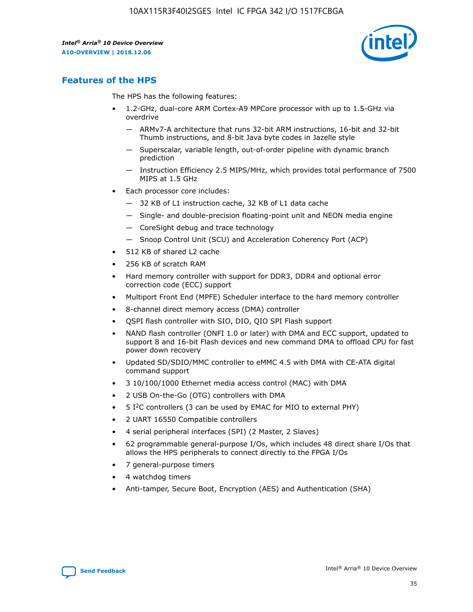

## **Features of the HPS**

The HPS has the following features:

- 1.2-GHz, dual-core ARM Cortex-A9 MPCore processor with up to 1.5-GHz via overdrive
	- ARMv7-A architecture that runs 32-bit ARM instructions, 16-bit and 32-bit Thumb instructions, and 8-bit Java byte codes in Jazelle style
	- Superscalar, variable length, out-of-order pipeline with dynamic branch prediction
	- Instruction Efficiency 2.5 MIPS/MHz, which provides total performance of 7500 MIPS at 1.5 GHz
- Each processor core includes:
	- 32 KB of L1 instruction cache, 32 KB of L1 data cache
	- Single- and double-precision floating-point unit and NEON media engine
	- CoreSight debug and trace technology
	- Snoop Control Unit (SCU) and Acceleration Coherency Port (ACP)
- 512 KB of shared L2 cache
- 256 KB of scratch RAM
- Hard memory controller with support for DDR3, DDR4 and optional error correction code (ECC) support
- Multiport Front End (MPFE) Scheduler interface to the hard memory controller
- 8-channel direct memory access (DMA) controller
- QSPI flash controller with SIO, DIO, QIO SPI Flash support
- NAND flash controller (ONFI 1.0 or later) with DMA and ECC support, updated to support 8 and 16-bit Flash devices and new command DMA to offload CPU for fast power down recovery
- Updated SD/SDIO/MMC controller to eMMC 4.5 with DMA with CE-ATA digital command support
- 3 10/100/1000 Ethernet media access control (MAC) with DMA
- 2 USB On-the-Go (OTG) controllers with DMA
- $\bullet$  5 I<sup>2</sup>C controllers (3 can be used by EMAC for MIO to external PHY)
- 2 UART 16550 Compatible controllers
- 4 serial peripheral interfaces (SPI) (2 Master, 2 Slaves)
- 62 programmable general-purpose I/Os, which includes 48 direct share I/Os that allows the HPS peripherals to connect directly to the FPGA I/Os
- 7 general-purpose timers
- 4 watchdog timers
- Anti-tamper, Secure Boot, Encryption (AES) and Authentication (SHA)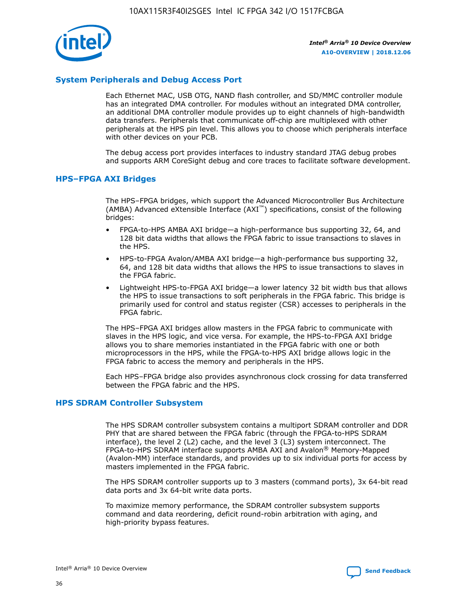

## **System Peripherals and Debug Access Port**

Each Ethernet MAC, USB OTG, NAND flash controller, and SD/MMC controller module has an integrated DMA controller. For modules without an integrated DMA controller, an additional DMA controller module provides up to eight channels of high-bandwidth data transfers. Peripherals that communicate off-chip are multiplexed with other peripherals at the HPS pin level. This allows you to choose which peripherals interface with other devices on your PCB.

The debug access port provides interfaces to industry standard JTAG debug probes and supports ARM CoreSight debug and core traces to facilitate software development.

#### **HPS–FPGA AXI Bridges**

The HPS–FPGA bridges, which support the Advanced Microcontroller Bus Architecture (AMBA) Advanced eXtensible Interface (AXI™) specifications, consist of the following bridges:

- FPGA-to-HPS AMBA AXI bridge—a high-performance bus supporting 32, 64, and 128 bit data widths that allows the FPGA fabric to issue transactions to slaves in the HPS.
- HPS-to-FPGA Avalon/AMBA AXI bridge—a high-performance bus supporting 32, 64, and 128 bit data widths that allows the HPS to issue transactions to slaves in the FPGA fabric.
- Lightweight HPS-to-FPGA AXI bridge—a lower latency 32 bit width bus that allows the HPS to issue transactions to soft peripherals in the FPGA fabric. This bridge is primarily used for control and status register (CSR) accesses to peripherals in the FPGA fabric.

The HPS–FPGA AXI bridges allow masters in the FPGA fabric to communicate with slaves in the HPS logic, and vice versa. For example, the HPS-to-FPGA AXI bridge allows you to share memories instantiated in the FPGA fabric with one or both microprocessors in the HPS, while the FPGA-to-HPS AXI bridge allows logic in the FPGA fabric to access the memory and peripherals in the HPS.

Each HPS–FPGA bridge also provides asynchronous clock crossing for data transferred between the FPGA fabric and the HPS.

#### **HPS SDRAM Controller Subsystem**

The HPS SDRAM controller subsystem contains a multiport SDRAM controller and DDR PHY that are shared between the FPGA fabric (through the FPGA-to-HPS SDRAM interface), the level 2 (L2) cache, and the level 3 (L3) system interconnect. The FPGA-to-HPS SDRAM interface supports AMBA AXI and Avalon® Memory-Mapped (Avalon-MM) interface standards, and provides up to six individual ports for access by masters implemented in the FPGA fabric.

The HPS SDRAM controller supports up to 3 masters (command ports), 3x 64-bit read data ports and 3x 64-bit write data ports.

To maximize memory performance, the SDRAM controller subsystem supports command and data reordering, deficit round-robin arbitration with aging, and high-priority bypass features.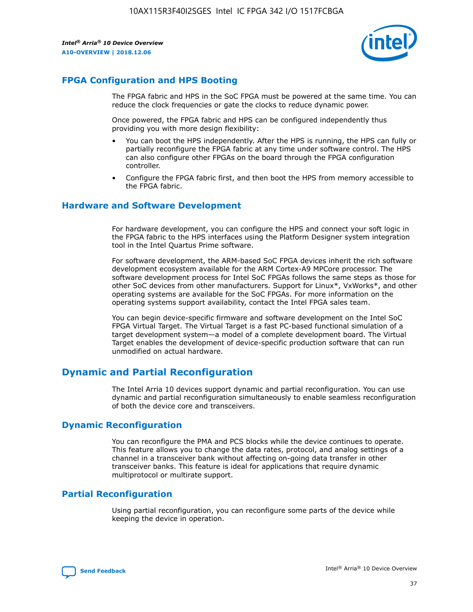

## **FPGA Configuration and HPS Booting**

The FPGA fabric and HPS in the SoC FPGA must be powered at the same time. You can reduce the clock frequencies or gate the clocks to reduce dynamic power.

Once powered, the FPGA fabric and HPS can be configured independently thus providing you with more design flexibility:

- You can boot the HPS independently. After the HPS is running, the HPS can fully or partially reconfigure the FPGA fabric at any time under software control. The HPS can also configure other FPGAs on the board through the FPGA configuration controller.
- Configure the FPGA fabric first, and then boot the HPS from memory accessible to the FPGA fabric.

## **Hardware and Software Development**

For hardware development, you can configure the HPS and connect your soft logic in the FPGA fabric to the HPS interfaces using the Platform Designer system integration tool in the Intel Quartus Prime software.

For software development, the ARM-based SoC FPGA devices inherit the rich software development ecosystem available for the ARM Cortex-A9 MPCore processor. The software development process for Intel SoC FPGAs follows the same steps as those for other SoC devices from other manufacturers. Support for Linux\*, VxWorks\*, and other operating systems are available for the SoC FPGAs. For more information on the operating systems support availability, contact the Intel FPGA sales team.

You can begin device-specific firmware and software development on the Intel SoC FPGA Virtual Target. The Virtual Target is a fast PC-based functional simulation of a target development system—a model of a complete development board. The Virtual Target enables the development of device-specific production software that can run unmodified on actual hardware.

## **Dynamic and Partial Reconfiguration**

The Intel Arria 10 devices support dynamic and partial reconfiguration. You can use dynamic and partial reconfiguration simultaneously to enable seamless reconfiguration of both the device core and transceivers.

## **Dynamic Reconfiguration**

You can reconfigure the PMA and PCS blocks while the device continues to operate. This feature allows you to change the data rates, protocol, and analog settings of a channel in a transceiver bank without affecting on-going data transfer in other transceiver banks. This feature is ideal for applications that require dynamic multiprotocol or multirate support.

## **Partial Reconfiguration**

Using partial reconfiguration, you can reconfigure some parts of the device while keeping the device in operation.

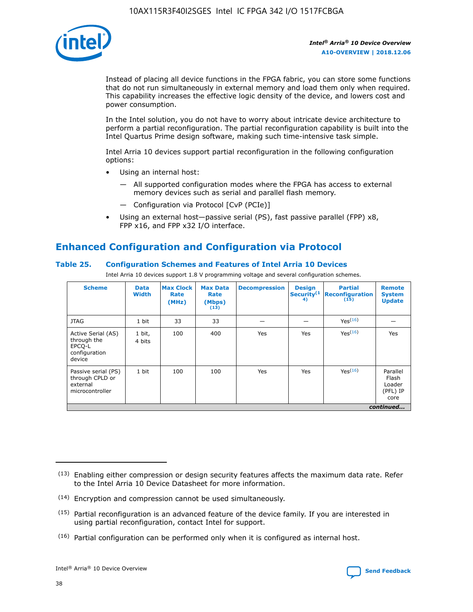

Instead of placing all device functions in the FPGA fabric, you can store some functions that do not run simultaneously in external memory and load them only when required. This capability increases the effective logic density of the device, and lowers cost and power consumption.

In the Intel solution, you do not have to worry about intricate device architecture to perform a partial reconfiguration. The partial reconfiguration capability is built into the Intel Quartus Prime design software, making such time-intensive task simple.

Intel Arria 10 devices support partial reconfiguration in the following configuration options:

- Using an internal host:
	- All supported configuration modes where the FPGA has access to external memory devices such as serial and parallel flash memory.
	- Configuration via Protocol [CvP (PCIe)]
- Using an external host—passive serial (PS), fast passive parallel (FPP) x8, FPP x16, and FPP x32 I/O interface.

# **Enhanced Configuration and Configuration via Protocol**

## **Table 25. Configuration Schemes and Features of Intel Arria 10 Devices**

Intel Arria 10 devices support 1.8 V programming voltage and several configuration schemes.

| <b>Scheme</b>                                                          | <b>Data</b><br><b>Width</b> | <b>Max Clock</b><br>Rate<br>(MHz) | <b>Max Data</b><br>Rate<br>(Mbps)<br>(13) | <b>Decompression</b> | <b>Design</b><br>Security <sup>(1</sup><br>4) | <b>Partial</b><br><b>Reconfiguration</b><br>(15) | <b>Remote</b><br><b>System</b><br><b>Update</b> |
|------------------------------------------------------------------------|-----------------------------|-----------------------------------|-------------------------------------------|----------------------|-----------------------------------------------|--------------------------------------------------|-------------------------------------------------|
| <b>JTAG</b>                                                            | 1 bit                       | 33                                | 33                                        |                      |                                               | Yes(16)                                          |                                                 |
| Active Serial (AS)<br>through the<br>EPCO-L<br>configuration<br>device | 1 bit,<br>4 bits            | 100                               | 400                                       | Yes                  | Yes                                           | $Y_{PS}(16)$                                     | Yes                                             |
| Passive serial (PS)<br>through CPLD or<br>external<br>microcontroller  | 1 bit                       | 100                               | 100                                       | Yes                  | Yes                                           | Yes(16)                                          | Parallel<br>Flash<br>Loader<br>(PFL) IP<br>core |
|                                                                        |                             |                                   |                                           |                      |                                               |                                                  | continued                                       |

<sup>(13)</sup> Enabling either compression or design security features affects the maximum data rate. Refer to the Intel Arria 10 Device Datasheet for more information.

<sup>(14)</sup> Encryption and compression cannot be used simultaneously.

 $(15)$  Partial reconfiguration is an advanced feature of the device family. If you are interested in using partial reconfiguration, contact Intel for support.

 $(16)$  Partial configuration can be performed only when it is configured as internal host.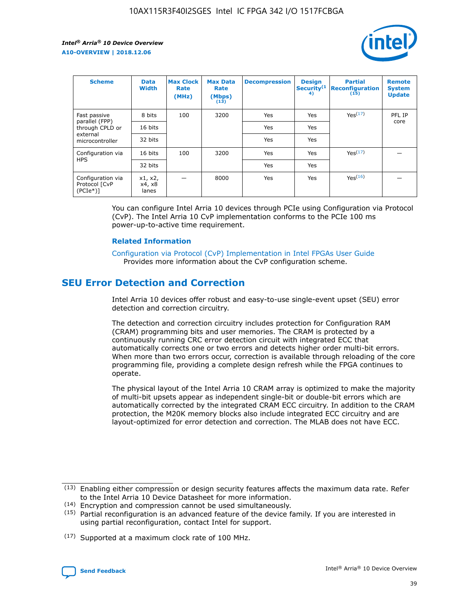

| <b>Scheme</b>                                   | <b>Data</b><br><b>Width</b> | <b>Max Clock</b><br>Rate<br>(MHz) | <b>Max Data</b><br>Rate<br>(Mbps)<br>(13) | <b>Decompression</b> | <b>Design</b><br>Security <sup>(1</sup><br>4) | <b>Partial</b><br><b>Reconfiguration</b><br>(15) | <b>Remote</b><br><b>System</b><br><b>Update</b> |
|-------------------------------------------------|-----------------------------|-----------------------------------|-------------------------------------------|----------------------|-----------------------------------------------|--------------------------------------------------|-------------------------------------------------|
| Fast passive                                    | 8 bits                      | 100                               | 3200                                      | Yes                  | Yes                                           | Yes(17)                                          | PFL IP                                          |
| parallel (FPP)<br>through CPLD or               | 16 bits                     |                                   |                                           | Yes                  | Yes                                           |                                                  | core                                            |
| external<br>microcontroller                     | 32 bits                     |                                   |                                           | Yes                  | Yes                                           |                                                  |                                                 |
| Configuration via                               | 16 bits                     | 100                               | 3200                                      | Yes                  | Yes                                           | Yes <sup>(17)</sup>                              |                                                 |
| <b>HPS</b>                                      | 32 bits                     |                                   |                                           | Yes                  | Yes                                           |                                                  |                                                 |
| Configuration via<br>Protocol [CvP<br>$(PCIe*)$ | x1, x2,<br>x4, x8<br>lanes  |                                   | 8000                                      | Yes                  | Yes                                           | Yes(16)                                          |                                                 |

You can configure Intel Arria 10 devices through PCIe using Configuration via Protocol (CvP). The Intel Arria 10 CvP implementation conforms to the PCIe 100 ms power-up-to-active time requirement.

### **Related Information**

[Configuration via Protocol \(CvP\) Implementation in Intel FPGAs User Guide](https://www.intel.com/content/www/us/en/programmable/documentation/dsu1441819344145.html#dsu1442269728522) Provides more information about the CvP configuration scheme.

# **SEU Error Detection and Correction**

Intel Arria 10 devices offer robust and easy-to-use single-event upset (SEU) error detection and correction circuitry.

The detection and correction circuitry includes protection for Configuration RAM (CRAM) programming bits and user memories. The CRAM is protected by a continuously running CRC error detection circuit with integrated ECC that automatically corrects one or two errors and detects higher order multi-bit errors. When more than two errors occur, correction is available through reloading of the core programming file, providing a complete design refresh while the FPGA continues to operate.

The physical layout of the Intel Arria 10 CRAM array is optimized to make the majority of multi-bit upsets appear as independent single-bit or double-bit errors which are automatically corrected by the integrated CRAM ECC circuitry. In addition to the CRAM protection, the M20K memory blocks also include integrated ECC circuitry and are layout-optimized for error detection and correction. The MLAB does not have ECC.

(14) Encryption and compression cannot be used simultaneously.

<sup>(17)</sup> Supported at a maximum clock rate of 100 MHz.



 $(13)$  Enabling either compression or design security features affects the maximum data rate. Refer to the Intel Arria 10 Device Datasheet for more information.

 $(15)$  Partial reconfiguration is an advanced feature of the device family. If you are interested in using partial reconfiguration, contact Intel for support.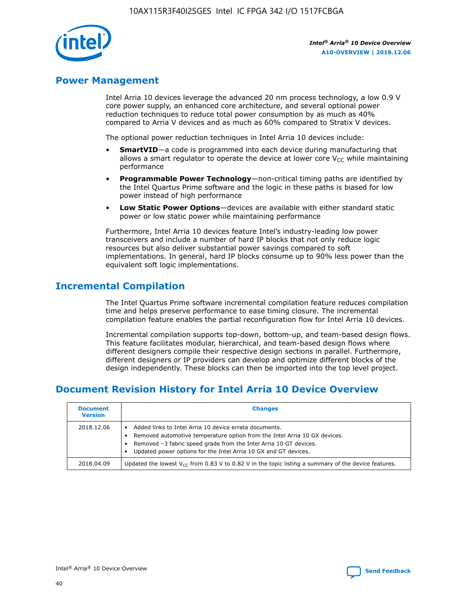

## **Power Management**

Intel Arria 10 devices leverage the advanced 20 nm process technology, a low 0.9 V core power supply, an enhanced core architecture, and several optional power reduction techniques to reduce total power consumption by as much as 40% compared to Arria V devices and as much as 60% compared to Stratix V devices.

The optional power reduction techniques in Intel Arria 10 devices include:

- **SmartVID**—a code is programmed into each device during manufacturing that allows a smart regulator to operate the device at lower core  $V_{CC}$  while maintaining performance
- **Programmable Power Technology**—non-critical timing paths are identified by the Intel Quartus Prime software and the logic in these paths is biased for low power instead of high performance
- **Low Static Power Options**—devices are available with either standard static power or low static power while maintaining performance

Furthermore, Intel Arria 10 devices feature Intel's industry-leading low power transceivers and include a number of hard IP blocks that not only reduce logic resources but also deliver substantial power savings compared to soft implementations. In general, hard IP blocks consume up to 90% less power than the equivalent soft logic implementations.

# **Incremental Compilation**

The Intel Quartus Prime software incremental compilation feature reduces compilation time and helps preserve performance to ease timing closure. The incremental compilation feature enables the partial reconfiguration flow for Intel Arria 10 devices.

Incremental compilation supports top-down, bottom-up, and team-based design flows. This feature facilitates modular, hierarchical, and team-based design flows where different designers compile their respective design sections in parallel. Furthermore, different designers or IP providers can develop and optimize different blocks of the design independently. These blocks can then be imported into the top level project.

# **Document Revision History for Intel Arria 10 Device Overview**

| <b>Document</b><br><b>Version</b> | <b>Changes</b>                                                                                                                                                                                                                                                              |
|-----------------------------------|-----------------------------------------------------------------------------------------------------------------------------------------------------------------------------------------------------------------------------------------------------------------------------|
| 2018.12.06                        | Added links to Intel Arria 10 device errata documents.<br>Removed automotive temperature option from the Intel Arria 10 GX devices.<br>Removed -3 fabric speed grade from the Intel Arria 10 GT devices.<br>Updated power options for the Intel Arria 10 GX and GT devices. |
| 2018.04.09                        | Updated the lowest $V_{CC}$ from 0.83 V to 0.82 V in the topic listing a summary of the device features.                                                                                                                                                                    |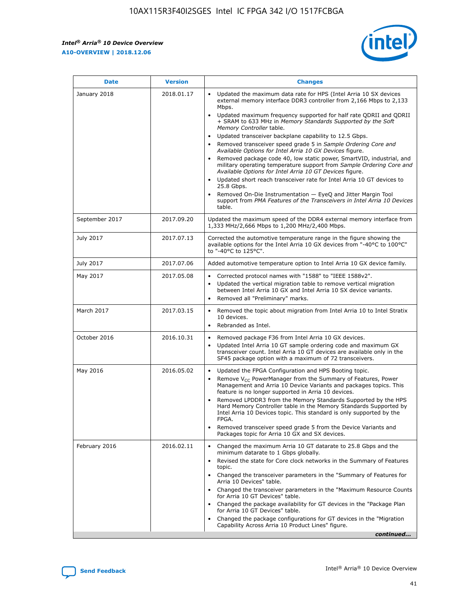*Intel® Arria® 10 Device Overview* **A10-OVERVIEW | 2018.12.06**



| <b>Date</b>    | <b>Version</b> | <b>Changes</b>                                                                                                                                                                                                                                                                                                                                                                                                                                                                                                                                                                                                                                                                                                                                                                                                                                                                                                                                                            |
|----------------|----------------|---------------------------------------------------------------------------------------------------------------------------------------------------------------------------------------------------------------------------------------------------------------------------------------------------------------------------------------------------------------------------------------------------------------------------------------------------------------------------------------------------------------------------------------------------------------------------------------------------------------------------------------------------------------------------------------------------------------------------------------------------------------------------------------------------------------------------------------------------------------------------------------------------------------------------------------------------------------------------|
| January 2018   | 2018.01.17     | Updated the maximum data rate for HPS (Intel Arria 10 SX devices<br>external memory interface DDR3 controller from 2,166 Mbps to 2,133<br>Mbps.<br>Updated maximum frequency supported for half rate QDRII and QDRII<br>+ SRAM to 633 MHz in Memory Standards Supported by the Soft<br>Memory Controller table.<br>Updated transceiver backplane capability to 12.5 Gbps.<br>$\bullet$<br>Removed transceiver speed grade 5 in Sample Ordering Core and<br>Available Options for Intel Arria 10 GX Devices figure.<br>Removed package code 40, low static power, SmartVID, industrial, and<br>military operating temperature support from Sample Ordering Core and<br>Available Options for Intel Arria 10 GT Devices figure.<br>Updated short reach transceiver rate for Intel Arria 10 GT devices to<br>25.8 Gbps.<br>Removed On-Die Instrumentation - EyeQ and Jitter Margin Tool<br>support from PMA Features of the Transceivers in Intel Arria 10 Devices<br>table. |
| September 2017 | 2017.09.20     | Updated the maximum speed of the DDR4 external memory interface from<br>1,333 MHz/2,666 Mbps to 1,200 MHz/2,400 Mbps.                                                                                                                                                                                                                                                                                                                                                                                                                                                                                                                                                                                                                                                                                                                                                                                                                                                     |
| July 2017      | 2017.07.13     | Corrected the automotive temperature range in the figure showing the<br>available options for the Intel Arria 10 GX devices from "-40°C to 100°C"<br>to "-40°C to 125°C".                                                                                                                                                                                                                                                                                                                                                                                                                                                                                                                                                                                                                                                                                                                                                                                                 |
| July 2017      | 2017.07.06     | Added automotive temperature option to Intel Arria 10 GX device family.                                                                                                                                                                                                                                                                                                                                                                                                                                                                                                                                                                                                                                                                                                                                                                                                                                                                                                   |
| May 2017       | 2017.05.08     | Corrected protocol names with "1588" to "IEEE 1588v2".<br>Updated the vertical migration table to remove vertical migration<br>between Intel Arria 10 GX and Intel Arria 10 SX device variants.<br>Removed all "Preliminary" marks.                                                                                                                                                                                                                                                                                                                                                                                                                                                                                                                                                                                                                                                                                                                                       |
| March 2017     | 2017.03.15     | Removed the topic about migration from Intel Arria 10 to Intel Stratix<br>10 devices.<br>Rebranded as Intel.<br>$\bullet$                                                                                                                                                                                                                                                                                                                                                                                                                                                                                                                                                                                                                                                                                                                                                                                                                                                 |
| October 2016   | 2016.10.31     | Removed package F36 from Intel Arria 10 GX devices.<br>Updated Intel Arria 10 GT sample ordering code and maximum GX<br>$\bullet$<br>transceiver count. Intel Arria 10 GT devices are available only in the<br>SF45 package option with a maximum of 72 transceivers.                                                                                                                                                                                                                                                                                                                                                                                                                                                                                                                                                                                                                                                                                                     |
| May 2016       | 2016.05.02     | Updated the FPGA Configuration and HPS Booting topic.<br>Remove V <sub>CC</sub> PowerManager from the Summary of Features, Power<br>Management and Arria 10 Device Variants and packages topics. This<br>feature is no longer supported in Arria 10 devices.<br>Removed LPDDR3 from the Memory Standards Supported by the HPS<br>Hard Memory Controller table in the Memory Standards Supported by<br>Intel Arria 10 Devices topic. This standard is only supported by the<br>FPGA.<br>Removed transceiver speed grade 5 from the Device Variants and<br>Packages topic for Arria 10 GX and SX devices.                                                                                                                                                                                                                                                                                                                                                                   |
| February 2016  | 2016.02.11     | Changed the maximum Arria 10 GT datarate to 25.8 Gbps and the<br>minimum datarate to 1 Gbps globally.<br>Revised the state for Core clock networks in the Summary of Features<br>$\bullet$<br>topic.<br>Changed the transceiver parameters in the "Summary of Features for<br>Arria 10 Devices" table.<br>• Changed the transceiver parameters in the "Maximum Resource Counts<br>for Arria 10 GT Devices" table.<br>• Changed the package availability for GT devices in the "Package Plan<br>for Arria 10 GT Devices" table.<br>Changed the package configurations for GT devices in the "Migration"<br>Capability Across Arria 10 Product Lines" figure.<br>continued                                                                                                                                                                                                                                                                                                  |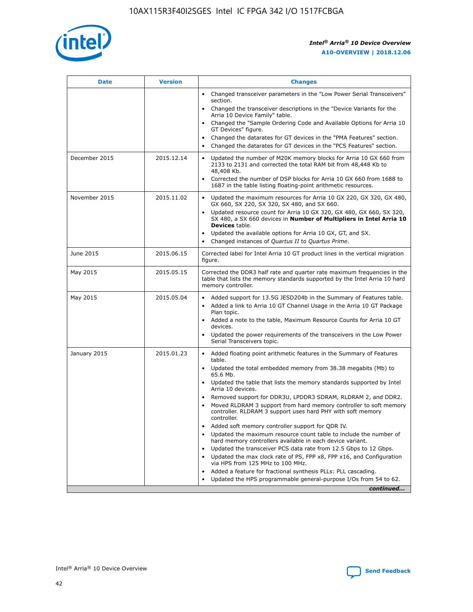

| <b>Date</b>   | <b>Version</b> | <b>Changes</b>                                                                                                                                                               |
|---------------|----------------|------------------------------------------------------------------------------------------------------------------------------------------------------------------------------|
|               |                | • Changed transceiver parameters in the "Low Power Serial Transceivers"<br>section.                                                                                          |
|               |                | • Changed the transceiver descriptions in the "Device Variants for the<br>Arria 10 Device Family" table.                                                                     |
|               |                | Changed the "Sample Ordering Code and Available Options for Arria 10<br>$\bullet$<br>GT Devices" figure.                                                                     |
|               |                | Changed the datarates for GT devices in the "PMA Features" section.                                                                                                          |
|               |                | Changed the datarates for GT devices in the "PCS Features" section.<br>$\bullet$                                                                                             |
| December 2015 | 2015.12.14     | Updated the number of M20K memory blocks for Arria 10 GX 660 from<br>2133 to 2131 and corrected the total RAM bit from 48,448 Kb to<br>48,408 Kb.                            |
|               |                | Corrected the number of DSP blocks for Arria 10 GX 660 from 1688 to<br>1687 in the table listing floating-point arithmetic resources.                                        |
| November 2015 | 2015.11.02     | Updated the maximum resources for Arria 10 GX 220, GX 320, GX 480,<br>$\bullet$<br>GX 660, SX 220, SX 320, SX 480, and SX 660.                                               |
|               |                | • Updated resource count for Arria 10 GX 320, GX 480, GX 660, SX 320,<br>SX 480, a SX 660 devices in Number of Multipliers in Intel Arria 10<br><b>Devices</b> table.        |
|               |                | Updated the available options for Arria 10 GX, GT, and SX.                                                                                                                   |
|               |                | Changed instances of Quartus II to Quartus Prime.<br>$\bullet$                                                                                                               |
| June 2015     | 2015.06.15     | Corrected label for Intel Arria 10 GT product lines in the vertical migration<br>figure.                                                                                     |
| May 2015      | 2015.05.15     | Corrected the DDR3 half rate and quarter rate maximum frequencies in the<br>table that lists the memory standards supported by the Intel Arria 10 hard<br>memory controller. |
| May 2015      | 2015.05.04     | • Added support for 13.5G JESD204b in the Summary of Features table.                                                                                                         |
|               |                | • Added a link to Arria 10 GT Channel Usage in the Arria 10 GT Package<br>Plan topic.                                                                                        |
|               |                | • Added a note to the table, Maximum Resource Counts for Arria 10 GT<br>devices.                                                                                             |
|               |                | • Updated the power requirements of the transceivers in the Low Power<br>Serial Transceivers topic.                                                                          |
| January 2015  | 2015.01.23     | • Added floating point arithmetic features in the Summary of Features<br>table.                                                                                              |
|               |                | • Updated the total embedded memory from 38.38 megabits (Mb) to<br>65.6 Mb.                                                                                                  |
|               |                | • Updated the table that lists the memory standards supported by Intel<br>Arria 10 devices.                                                                                  |
|               |                | Removed support for DDR3U, LPDDR3 SDRAM, RLDRAM 2, and DDR2.                                                                                                                 |
|               |                | Moved RLDRAM 3 support from hard memory controller to soft memory<br>controller. RLDRAM 3 support uses hard PHY with soft memory<br>controller.                              |
|               |                | Added soft memory controller support for QDR IV.<br>٠                                                                                                                        |
|               |                | Updated the maximum resource count table to include the number of<br>hard memory controllers available in each device variant.                                               |
|               |                | Updated the transceiver PCS data rate from 12.5 Gbps to 12 Gbps.<br>$\bullet$                                                                                                |
|               |                | Updated the max clock rate of PS, FPP x8, FPP x16, and Configuration<br>via HPS from 125 MHz to 100 MHz.                                                                     |
|               |                | Added a feature for fractional synthesis PLLs: PLL cascading.                                                                                                                |
|               |                | Updated the HPS programmable general-purpose I/Os from 54 to 62.<br>$\bullet$                                                                                                |
|               |                | continued                                                                                                                                                                    |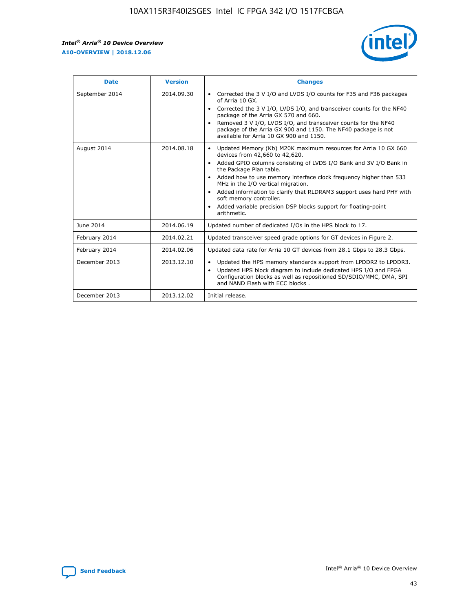r



| <b>Date</b>    | <b>Version</b> | <b>Changes</b>                                                                                                                                                                                                                                                                                                                                                                                                                                                                                                                                      |
|----------------|----------------|-----------------------------------------------------------------------------------------------------------------------------------------------------------------------------------------------------------------------------------------------------------------------------------------------------------------------------------------------------------------------------------------------------------------------------------------------------------------------------------------------------------------------------------------------------|
| September 2014 | 2014.09.30     | Corrected the 3 V I/O and LVDS I/O counts for F35 and F36 packages<br>$\bullet$<br>of Arria 10 GX.<br>Corrected the 3 V I/O, LVDS I/O, and transceiver counts for the NF40<br>$\bullet$<br>package of the Arria GX 570 and 660.<br>Removed 3 V I/O, LVDS I/O, and transceiver counts for the NF40<br>package of the Arria GX 900 and 1150. The NF40 package is not<br>available for Arria 10 GX 900 and 1150.                                                                                                                                       |
| August 2014    | 2014.08.18     | Updated Memory (Kb) M20K maximum resources for Arria 10 GX 660<br>devices from 42,660 to 42,620.<br>Added GPIO columns consisting of LVDS I/O Bank and 3V I/O Bank in<br>$\bullet$<br>the Package Plan table.<br>Added how to use memory interface clock frequency higher than 533<br>$\bullet$<br>MHz in the I/O vertical migration.<br>Added information to clarify that RLDRAM3 support uses hard PHY with<br>$\bullet$<br>soft memory controller.<br>Added variable precision DSP blocks support for floating-point<br>$\bullet$<br>arithmetic. |
| June 2014      | 2014.06.19     | Updated number of dedicated I/Os in the HPS block to 17.                                                                                                                                                                                                                                                                                                                                                                                                                                                                                            |
| February 2014  | 2014.02.21     | Updated transceiver speed grade options for GT devices in Figure 2.                                                                                                                                                                                                                                                                                                                                                                                                                                                                                 |
| February 2014  | 2014.02.06     | Updated data rate for Arria 10 GT devices from 28.1 Gbps to 28.3 Gbps.                                                                                                                                                                                                                                                                                                                                                                                                                                                                              |
| December 2013  | 2013.12.10     | Updated the HPS memory standards support from LPDDR2 to LPDDR3.<br>Updated HPS block diagram to include dedicated HPS I/O and FPGA<br>$\bullet$<br>Configuration blocks as well as repositioned SD/SDIO/MMC, DMA, SPI<br>and NAND Flash with ECC blocks.                                                                                                                                                                                                                                                                                            |
| December 2013  | 2013.12.02     | Initial release.                                                                                                                                                                                                                                                                                                                                                                                                                                                                                                                                    |